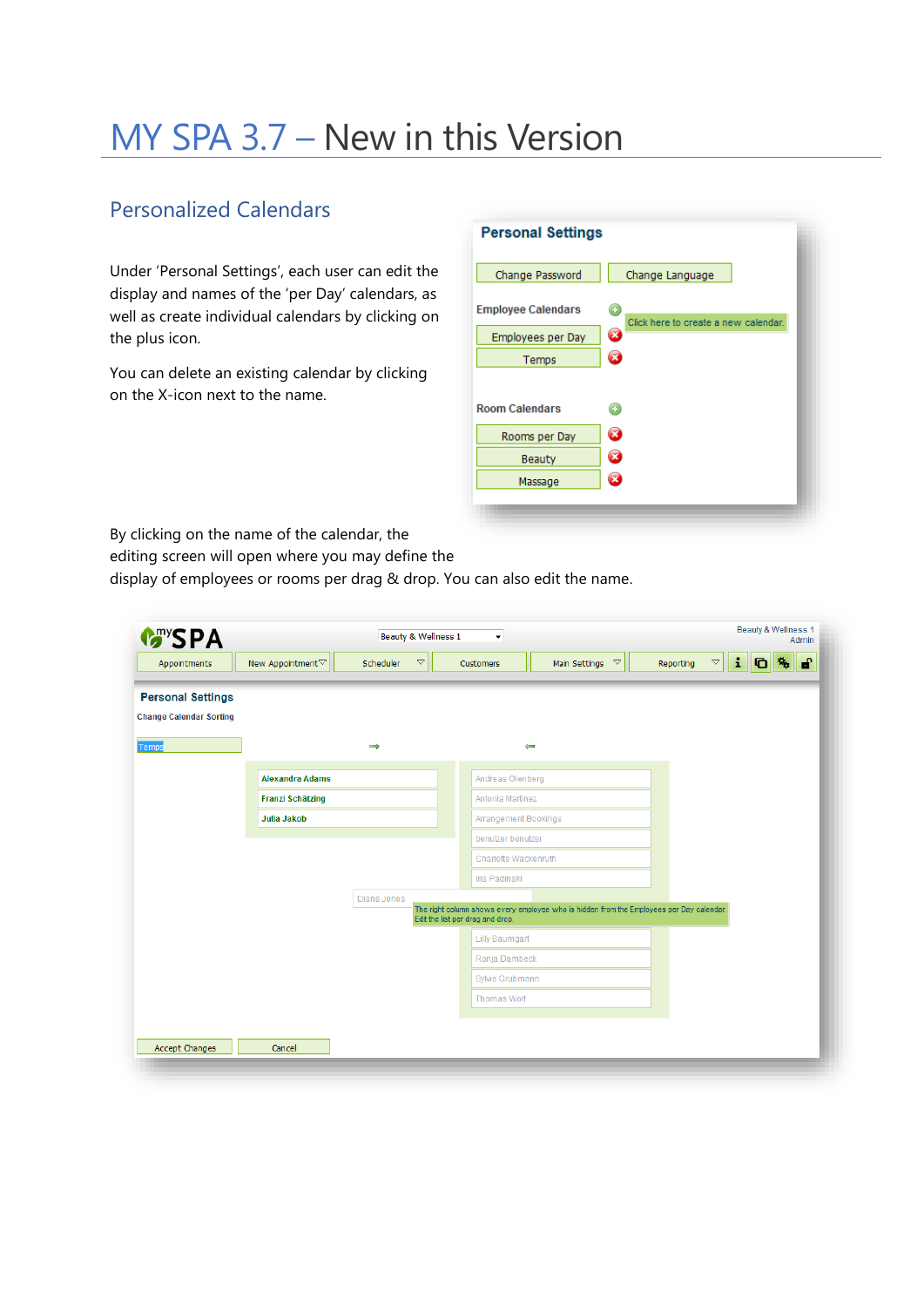# MY SPA 3.7 – New in this Version

### Personalized Calendars

Under 'Personal Settings', each user can edit the display and names of the 'per Day' calendars, as well as create individual calendars by clicking on the plus icon.

You can delete an existing calendar by clicking on the X-icon next to the name.

| <b>Personal Settings</b>  |                                           |
|---------------------------|-------------------------------------------|
| Change Password           | Change Language                           |
| <b>Employee Calendars</b> | G<br>Click here to create a new calendar. |
| Employees per Day         | Ø                                         |
| Temps                     | Ø                                         |
| <b>Room Calendars</b>     |                                           |
| Rooms per Day             | z                                         |
| Beauty                    | ×                                         |
| Massage                   | ×                                         |

By clicking on the name of the calendar, the

editing screen will open where you may define the

display of employees or rooms per drag & drop. You can also edit the name.

| <b>Many SPA</b>                |                         | Beauty & Wellness 1             | $\blacktriangledown$             |                                                                                          |                                 | Beauty & Wellness 1<br>Admin    |
|--------------------------------|-------------------------|---------------------------------|----------------------------------|------------------------------------------------------------------------------------------|---------------------------------|---------------------------------|
| Appointments                   | New Appointment▽        | Scheduler<br>$\bigtriangledown$ | Customers                        | Main Settings $~\triangledown$                                                           | $\bigtriangledown$<br>Reporting | i.<br>சி<br>$\mathbf{q}_t$<br>O |
| <b>Personal Settings</b>       |                         |                                 |                                  |                                                                                          |                                 |                                 |
| <b>Change Calendar Sorting</b> |                         |                                 |                                  |                                                                                          |                                 |                                 |
| Temps                          |                         | $\Rightarrow$                   |                                  | $\leftarrow$                                                                             |                                 |                                 |
|                                | <b>Alexandra Adams</b>  |                                 | Andreas Olenberg                 |                                                                                          |                                 |                                 |
|                                | <b>Franzi Schätzing</b> |                                 | Antonia Martinez                 |                                                                                          |                                 |                                 |
|                                | <b>Julia Jakob</b>      |                                 | Arrangement Bookings             |                                                                                          |                                 |                                 |
|                                |                         |                                 | benutzer benutzer                |                                                                                          |                                 |                                 |
|                                |                         |                                 | Charlotte Wackenruth             |                                                                                          |                                 |                                 |
|                                |                         |                                 | Iris Padinski                    |                                                                                          |                                 |                                 |
|                                |                         | Diane Jones                     |                                  | The right column shows every employee who is hidden from the Employees per Day calendar. |                                 |                                 |
|                                |                         |                                 | Edit the list per drag and drop. |                                                                                          |                                 |                                 |
|                                |                         |                                 | <b>Lilly Baumgart</b>            |                                                                                          |                                 |                                 |
|                                |                         |                                 | Ronja Dambeck                    |                                                                                          |                                 |                                 |
|                                |                         |                                 | Sylvie Grubmann                  |                                                                                          |                                 |                                 |
|                                |                         |                                 | <b>Thomas Wolf</b>               |                                                                                          |                                 |                                 |
|                                |                         |                                 |                                  |                                                                                          |                                 |                                 |
| Accept Changes                 | Cancel                  |                                 |                                  |                                                                                          |                                 |                                 |
|                                |                         |                                 |                                  |                                                                                          |                                 |                                 |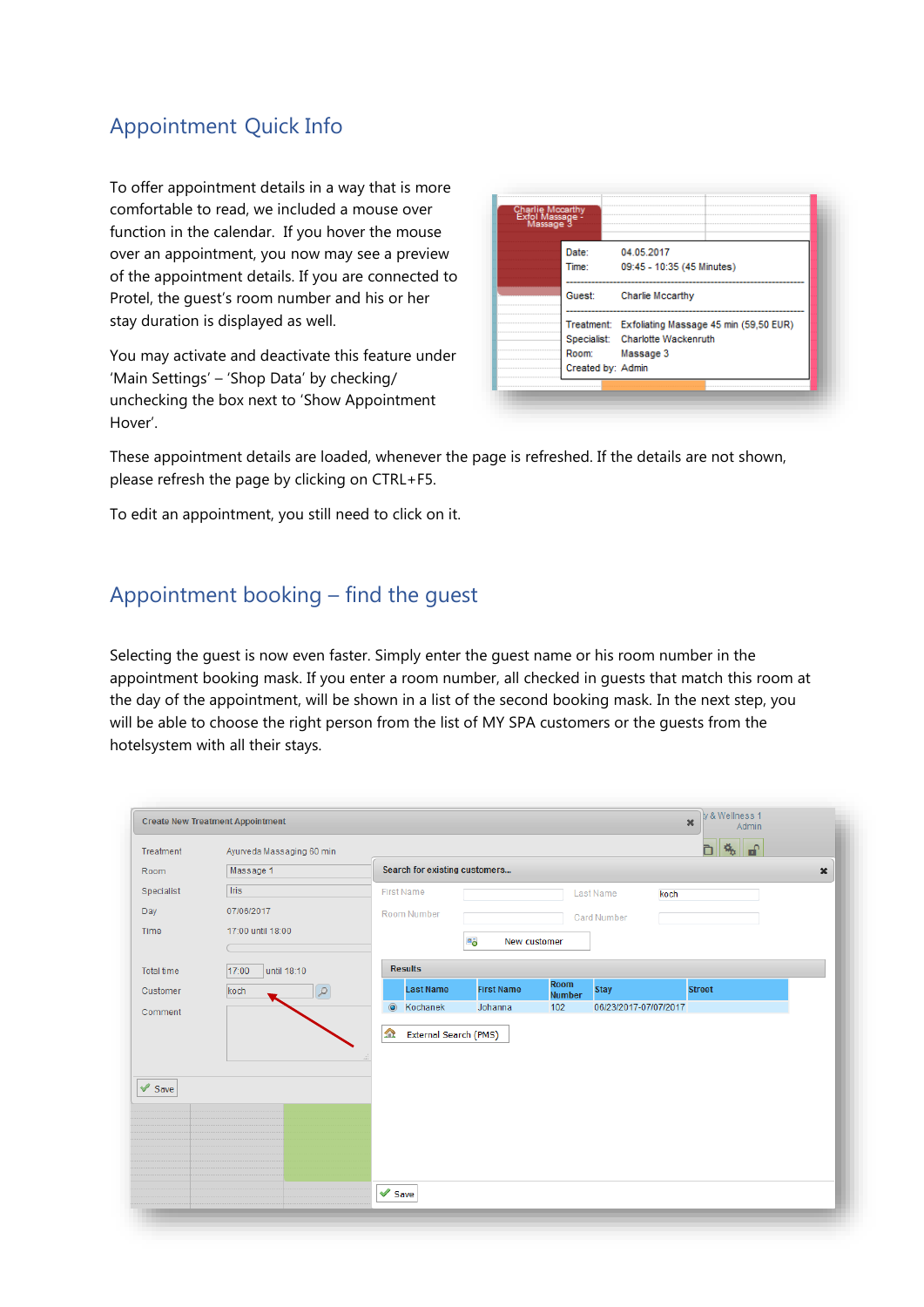### Appointment Quick Info

To offer appointment details in a way that is more comfortable to read, we included a mouse over function in the calendar. If you hover the mouse over an appointment, you now may see a preview of the appointment details. If you are connected to Protel, the guest's room number and his or her stay duration is displayed as well.

You may activate and deactivate this feature under 'Main Settings' – 'Shop Data' by checking/ unchecking the box next to 'Show Appointment Hover'.

| Charlie Mocarthy<br>- Exfol Massage<br>- Massage 3 |                                                   |
|----------------------------------------------------|---------------------------------------------------|
| Date:                                              | 04.05.2017                                        |
| Time:                                              | 09:45 - 10:35 (45 Minutes)                        |
| Guest:                                             | Charlie Mccarthy                                  |
|                                                    | Treatment: Exfoliating Massage 45 min (59,50 EUR) |
|                                                    | Specialist: Charlotte Wackenruth                  |
| Room:                                              | Massage 3                                         |
| Created by: Admin                                  |                                                   |

These appointment details are loaded, whenever the page is refreshed. If the details are not shown, please refresh the page by clicking on CTRL+F5.

To edit an appointment, you still need to click on it.

#### Appointment booking – find the guest

Selecting the guest is now even faster. Simply enter the guest name or his room number in the appointment booking mask. If you enter a room number, all checked in guests that match this room at the day of the appointment, will be shown in a list of the second booking mask. In the next step, you will be able to choose the right person from the list of MY SPA customers or the guests from the hotelsystem with all their stays.

|                           | <b>Create New Treatment Appointment</b> |                               |                    |                       |                       |      | $\pmb{\times}$<br>Admin |
|---------------------------|-----------------------------------------|-------------------------------|--------------------|-----------------------|-----------------------|------|-------------------------|
| Treatment                 | Ayurveda Massaging 60 min               |                               |                    |                       |                       |      | $\mathbf{r}$<br>Ò<br>梵  |
| Room                      | Massage 1                               | Search for existing customers |                    |                       |                       |      |                         |
| Specialist                | Iris                                    | <b>First Name</b>             |                    |                       | Last Name             | koch |                         |
| Day                       | 07/06/2017                              | Room Number                   |                    |                       | Card Number           |      |                         |
| Time                      | 17:00 until 18:00                       |                               |                    |                       |                       |      |                         |
|                           |                                         |                               | a,<br>New customer |                       |                       |      |                         |
| Total time                | 17:00<br>until 18:10                    | <b>Results</b>                |                    |                       |                       |      |                         |
| Customer                  | $\varphi$<br>koch                       | <b>Last Name</b>              | <b>First Name</b>  | Room<br><b>Number</b> | <b>Stay</b>           |      | <b>Street</b>           |
| Comment                   |                                         | $\circledcirc$<br>Kochanek    | Johanna            | 102                   | 06/23/2017-07/07/2017 |      |                         |
| $\blacktriangledown$ Save |                                         |                               |                    |                       |                       |      |                         |
|                           |                                         |                               |                    |                       |                       |      |                         |
|                           |                                         | $\blacktriangledown$ Save     |                    |                       |                       |      |                         |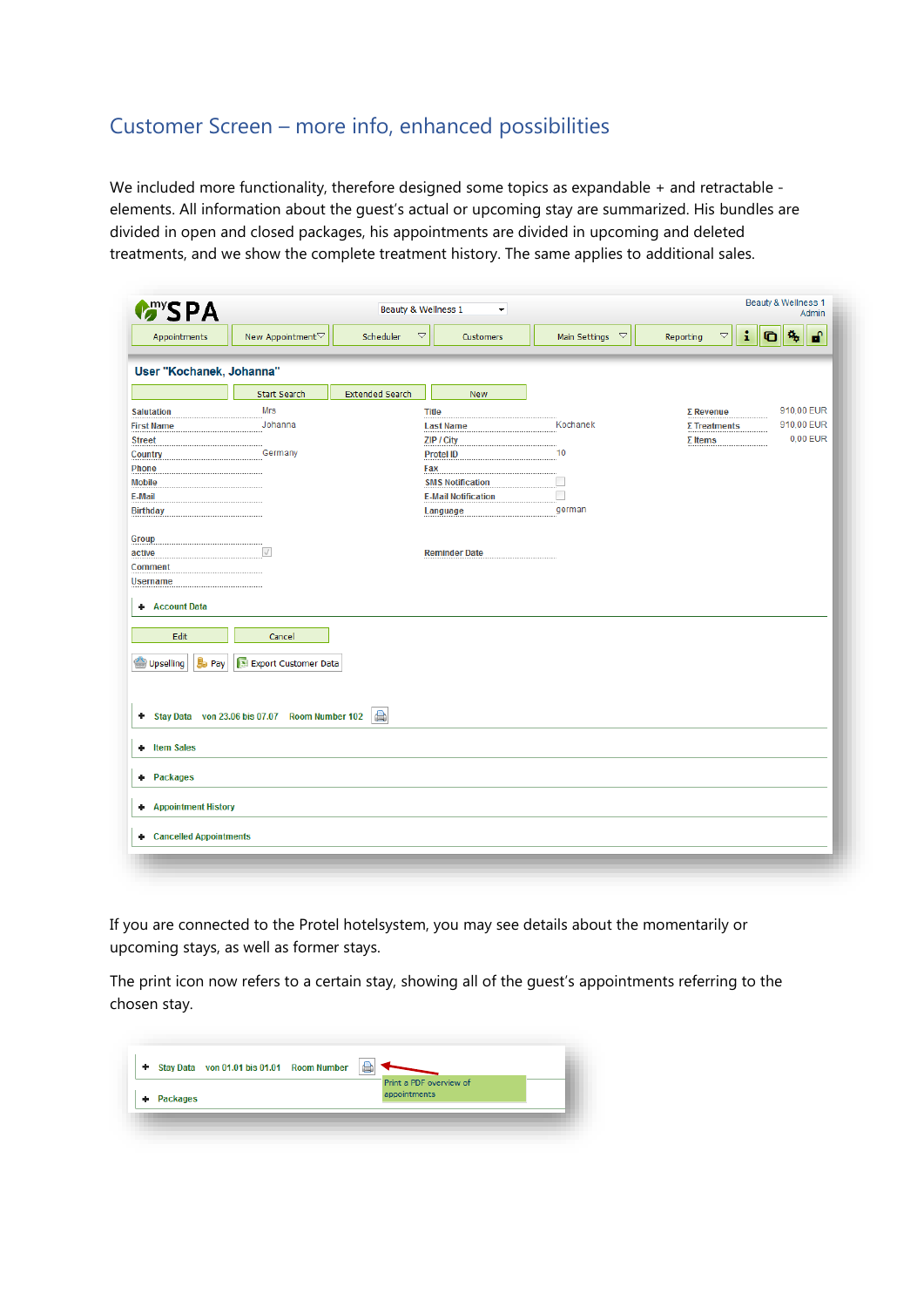### Customer Screen – more info, enhanced possibilities

We included more functionality, therefore designed some topics as expandable + and retractable elements. All information about the guest's actual or upcoming stay are summarized. His bundles are divided in open and closed packages, his appointments are divided in upcoming and deleted treatments, and we show the complete treatment history. The same applies to additional sales.

| <b>Many SPA</b>                               |                                               |                        | Beauty & Wellness 1<br>$\blacktriangledown$ |                                       | Beauty & Wellness 1<br>Admin                                    |
|-----------------------------------------------|-----------------------------------------------|------------------------|---------------------------------------------|---------------------------------------|-----------------------------------------------------------------|
| Appointments                                  | New Appointment▽                              | Scheduler              | $\bigtriangledown$<br>Customers             | Main Settings<br>$\blacktriangledown$ | $\mathbf{r}$<br>î.<br>殇<br>$\bigtriangledown$<br>G<br>Reporting |
| User "Kochanek, Johanna"                      |                                               |                        |                                             |                                       |                                                                 |
|                                               | Start Search                                  | <b>Extended Search</b> | <b>New</b>                                  |                                       |                                                                 |
| <b>Salutation</b>                             | <b>Mrs</b>                                    |                        | <b>Title</b>                                |                                       | 910,00 EUR<br>$\Sigma$ Revenue                                  |
| <b>First Name</b>                             | Johanna                                       |                        | <b>Last Name</b>                            | Kochanek                              | 910,00 EUR<br>$\Sigma$ Treatments                               |
| <b>Street</b>                                 |                                               |                        | ZIP / City                                  |                                       | 0,00 EUR<br>$\Sigma$ Items                                      |
| Country                                       | Germany                                       |                        | <b>Protel ID</b>                            | 10                                    |                                                                 |
| Phone                                         |                                               |                        | Fax                                         |                                       |                                                                 |
| <b>Mobile</b>                                 |                                               |                        | <b>SMS Notification</b>                     |                                       |                                                                 |
| E-Mail                                        |                                               |                        | <b>E-Mail Notification</b>                  |                                       |                                                                 |
| <b>Birthday</b>                               |                                               |                        | Language                                    | german                                |                                                                 |
|                                               |                                               |                        |                                             |                                       |                                                                 |
| Group                                         |                                               |                        |                                             |                                       |                                                                 |
| active                                        | $\sqrt{}$                                     |                        | <b>Reminder Date</b>                        |                                       |                                                                 |
| <b>Comment</b>                                |                                               |                        |                                             |                                       |                                                                 |
| <b>Username</b>                               |                                               |                        |                                             |                                       |                                                                 |
| <b>Account Data</b><br>٠<br>Edit              | Cancel                                        |                        |                                             |                                       |                                                                 |
| <b>B</b> <sub>D</sub> Pay<br><b>Upselling</b> | Export Customer Data                          |                        |                                             |                                       |                                                                 |
| ٠                                             | Stay Data von 23.06 bis 07.07 Room Number 102 | $\bigoplus$            |                                             |                                       |                                                                 |
| <b>Item Sales</b><br>٠                        |                                               |                        |                                             |                                       |                                                                 |
| <b>Packages</b><br>٠                          |                                               |                        |                                             |                                       |                                                                 |
|                                               |                                               |                        |                                             |                                       |                                                                 |
| <b>Appointment History</b><br>٠               |                                               |                        |                                             |                                       |                                                                 |
| <b>Cancelled Appointments</b><br>÷.           |                                               |                        |                                             |                                       |                                                                 |

If you are connected to the Protel hotelsystem, you may see details about the momentarily or upcoming stays, as well as former stays.

The print icon now refers to a certain stay, showing all of the guest's appointments referring to the chosen stay.

| ٠ |                 | Stay Data von 01.01 bis 01.01 Room Number |  | Print a PDF overview of |  |
|---|-----------------|-------------------------------------------|--|-------------------------|--|
|   | <b>Packages</b> |                                           |  | appointments            |  |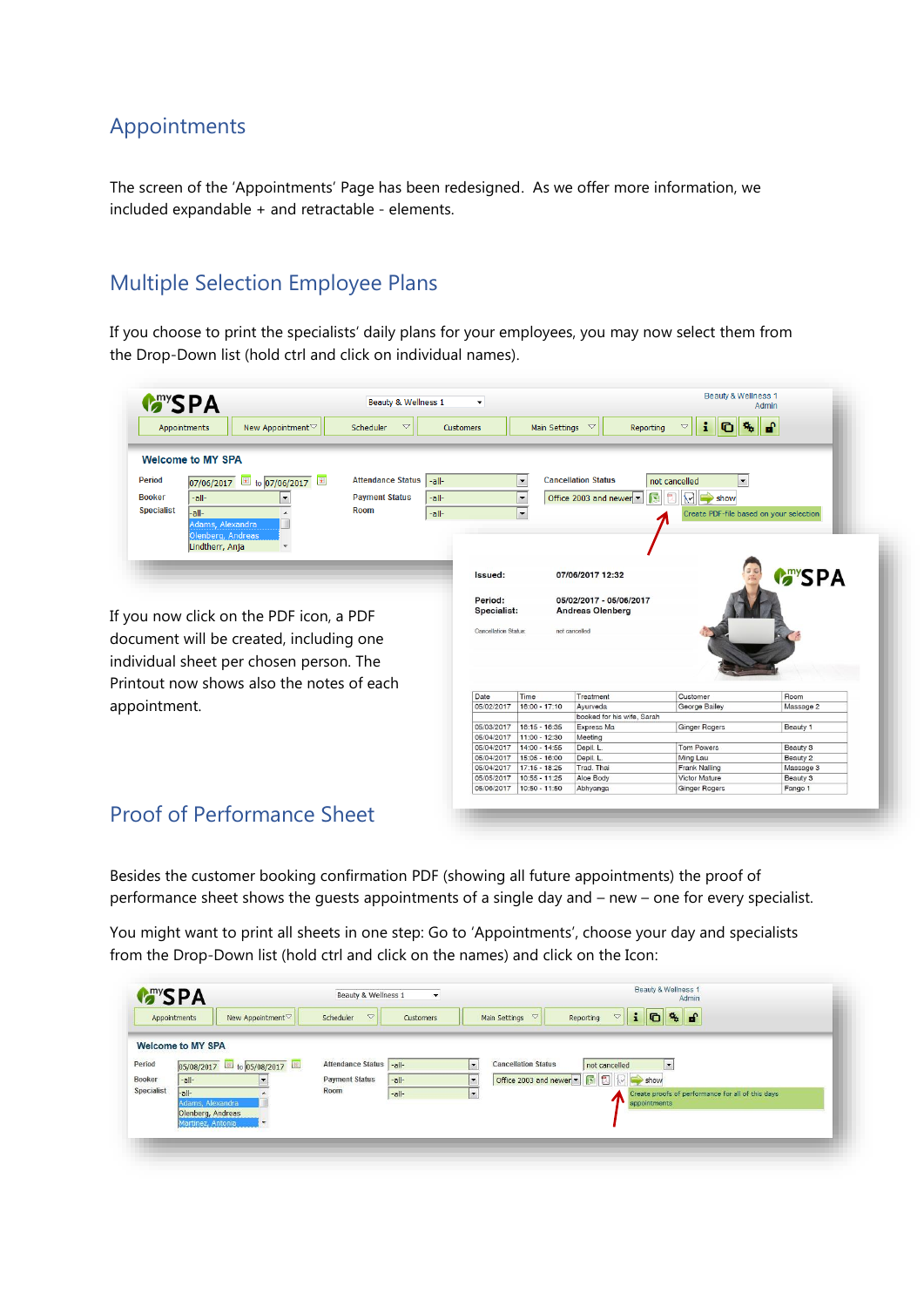### Appointments

The screen of the 'Appointments' Page has been redesigned. As we offer more information, we included expandable + and retractable - elements.

### Multiple Selection Employee Plans

If you choose to print the specialists' daily plans for your employees, you may now select them from the Drop-Down list (hold ctrl and click on individual names).

| <b>MANSPA</b>                         |                                           | Beauty & Wellness 1          | ۰                        |                                  |                            | Beauty & Wellness 1                     | Admin               |
|---------------------------------------|-------------------------------------------|------------------------------|--------------------------|----------------------------------|----------------------------|-----------------------------------------|---------------------|
| Appointments                          | New Appointment <sup>▽</sup>              | $\triangledown$<br>Scheduler | Customers                | Main Settings $~\heartsuit$      | Reporting                  | i<br>$\triangledown$<br>G               | சி                  |
| <b>Welcome to MY SPA</b>              |                                           |                              |                          |                                  |                            |                                         |                     |
| <b>Period</b>                         | 07/06/2017 to 07/06/2017                  | Attendance Status   -all-    |                          | $\blacktriangledown$             | <b>Cancellation Status</b> | $\blacktriangledown$<br>not cancelled   |                     |
| <b>Booker</b><br>-all-                | ۰                                         | <b>Payment Status</b>        | -all-                    | $\overline{\phantom{a}}$         | Office 2003 and newer      | 蜃<br>텑<br>₩                             |                     |
| <b>Specialist</b>                     |                                           | Room                         |                          |                                  |                            | $\Rightarrow$ show                      |                     |
| -all-                                 |                                           |                              | -all-                    | $\overline{\phantom{a}}$         |                            | Create PDF-file based on your selection |                     |
| Adams, Alexandra<br>Olenberg, Andreas |                                           |                              |                          |                                  |                            |                                         |                     |
| Lindtherr, Anja                       | $\overline{\phantom{a}}$                  |                              |                          |                                  |                            |                                         |                     |
|                                       |                                           |                              |                          |                                  |                            |                                         |                     |
|                                       |                                           |                              |                          |                                  |                            |                                         |                     |
|                                       |                                           |                              | Issued:                  |                                  | 07/06/2017 12:32           |                                         | <b>G</b> YSPA       |
|                                       |                                           |                              |                          |                                  |                            |                                         |                     |
|                                       |                                           |                              | Period:                  |                                  | 05/02/2017 - 05/06/2017    |                                         |                     |
|                                       | If you now click on the PDF icon, a PDF   |                              |                          | Specialist:                      | <b>Andreas Olenberg</b>    |                                         |                     |
|                                       |                                           |                              |                          | <b>Cancellation Status:</b>      | not cancelled              |                                         |                     |
|                                       | document will be created, including one   |                              |                          |                                  |                            |                                         |                     |
|                                       |                                           |                              |                          |                                  |                            |                                         |                     |
|                                       | individual sheet per chosen person. The   |                              |                          |                                  |                            |                                         |                     |
|                                       | Printout now shows also the notes of each |                              |                          |                                  |                            |                                         |                     |
|                                       |                                           |                              | Date                     | Time                             | Treatment                  | Customer                                | Room                |
| appointment.                          |                                           |                              | 05/02/2017               | 16:00 - 17:10                    | Ayurveda                   | George Bailey                           | Massage 2           |
|                                       |                                           |                              |                          |                                  | booked for his wife, Sarah |                                         |                     |
|                                       |                                           |                              | 05/03/2017               | 16:15 - 16:35                    | Express Ma                 | <b>Ginger Rogers</b>                    | Beauty 1            |
|                                       |                                           |                              | 05/04/2017               | 11:00 - 12:30                    | Meeting                    |                                         |                     |
|                                       |                                           |                              | 05/04/2017               | 14:00 - 14:55                    | Depil. L.                  | <b>Tom Powers</b>                       | Beauty 3            |
|                                       |                                           |                              | 05/04/2017               | 15:05 - 16:00                    | Depil. L.                  | Ming Lau                                | Beauty 2            |
|                                       |                                           |                              |                          |                                  |                            |                                         |                     |
|                                       |                                           |                              | 05/04/2017               | $17:15 - 18:25$                  | Trad. Thai                 | <b>Frank Nalling</b>                    | Massage 3           |
|                                       |                                           |                              | 05/05/2017<br>05/06/2017 | $10:55 - 11:25$<br>10:50 - 11:50 | Aloe Body<br>Abhyanga      | Victor Mature<br><b>Ginger Rogers</b>   | Beauty 3<br>Fango 1 |

### Proof of Performance Sheet

Besides the customer booking confirmation PDF (showing all future appointments) the proof of performance sheet shows the guests appointments of a single day and – new – one for every specialist.

You might want to print all sheets in one step: Go to 'Appointments', choose your day and specialists from the Drop-Down list (hold ctrl and click on the names) and click on the Icon:

|            | <b>Many SPA</b><br>New Appointment▽<br>Appointments | $\triangledown$<br>Scheduler         | Customers                            | <b>D % f</b><br>$\mathbf{i}$<br>$\triangledown$<br>$\triangledown$<br>Main Settings<br>Reporting |
|------------|-----------------------------------------------------|--------------------------------------|--------------------------------------|--------------------------------------------------------------------------------------------------|
|            | <b>Welcome to MY SPA</b>                            |                                      |                                      |                                                                                                  |
| Period     | 05/08/2017 to 05/08/2017                            | <b>Attendance Status</b><br>$ -all-$ | $\overline{\phantom{a}}$             | <b>Cancellation Status</b><br>$\vert$ -<br>not cancelled                                         |
| Booker     | $-all$ -<br>$\cdot$                                 | <b>Payment Status</b>                | $\overline{\phantom{a}}$<br>$-all$ - |                                                                                                  |
| Specialist | $-$ all-                                            | Room<br>$-all$ -                     | $\cdot$                              | Create proofs of performance for all of this days                                                |
|            | Adams, Alexandra<br>Olenberg, Andreas               |                                      |                                      | appointments                                                                                     |
|            | Martinez, Antonia                                   |                                      |                                      |                                                                                                  |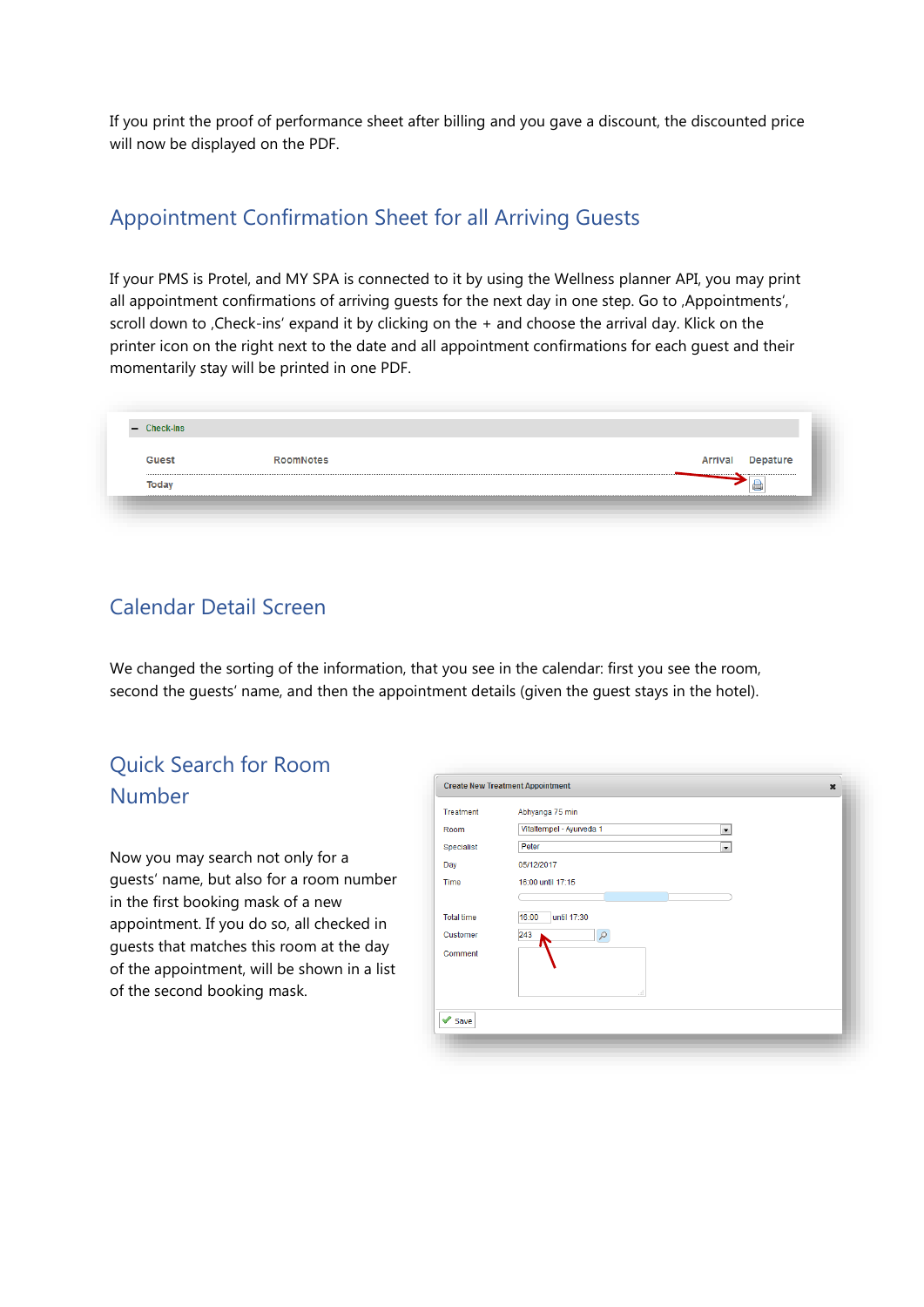If you print the proof of performance sheet after billing and you gave a discount, the discounted price will now be displayed on the PDF.

### Appointment Confirmation Sheet for all Arriving Guests

If your PMS is Protel, and MY SPA is connected to it by using the Wellness planner API, you may print all appointment confirmations of arriving quests for the next day in one step. Go to , Appointments', scroll down to , Check-ins' expand it by clicking on the + and choose the arrival day. Klick on the printer icon on the right next to the date and all appointment confirmations for each guest and their momentarily stay will be printed in one PDF.

| Guest                                            | <b>RoomNotes</b> | Arrival | Depature                            |
|--------------------------------------------------|------------------|---------|-------------------------------------|
| --------------------------------<br><b>Today</b> |                  |         | ,,,,,,,,,,,,,,,,,,,,,,,,,,,,,,,,,,, |

### Calendar Detail Screen

We changed the sorting of the information, that you see in the calendar: first you see the room, second the guests' name, and then the appointment details (given the guest stays in the hotel).

### Quick Search for Room Number

Now you may search not only for a guests' name, but also for a room number in the first booking mask of a new appointment. If you do so, all checked in guests that matches this room at the day of the appointment, will be shown in a list of the second booking mask.

| Room              | Vitaltempel - Ayurveda 1<br>$\overline{\phantom{0}}$ |
|-------------------|------------------------------------------------------|
| Specialist        | Peter<br>$\overline{\phantom{0}}$                    |
| Day               | 05/12/2017                                           |
| Time              | 16:00 until 17:15                                    |
|                   |                                                      |
| <b>Total time</b> | 16:00<br>until 17:30                                 |
| Customer          | 243<br>ρ                                             |
| Comment           | ał.                                                  |
|                   |                                                      |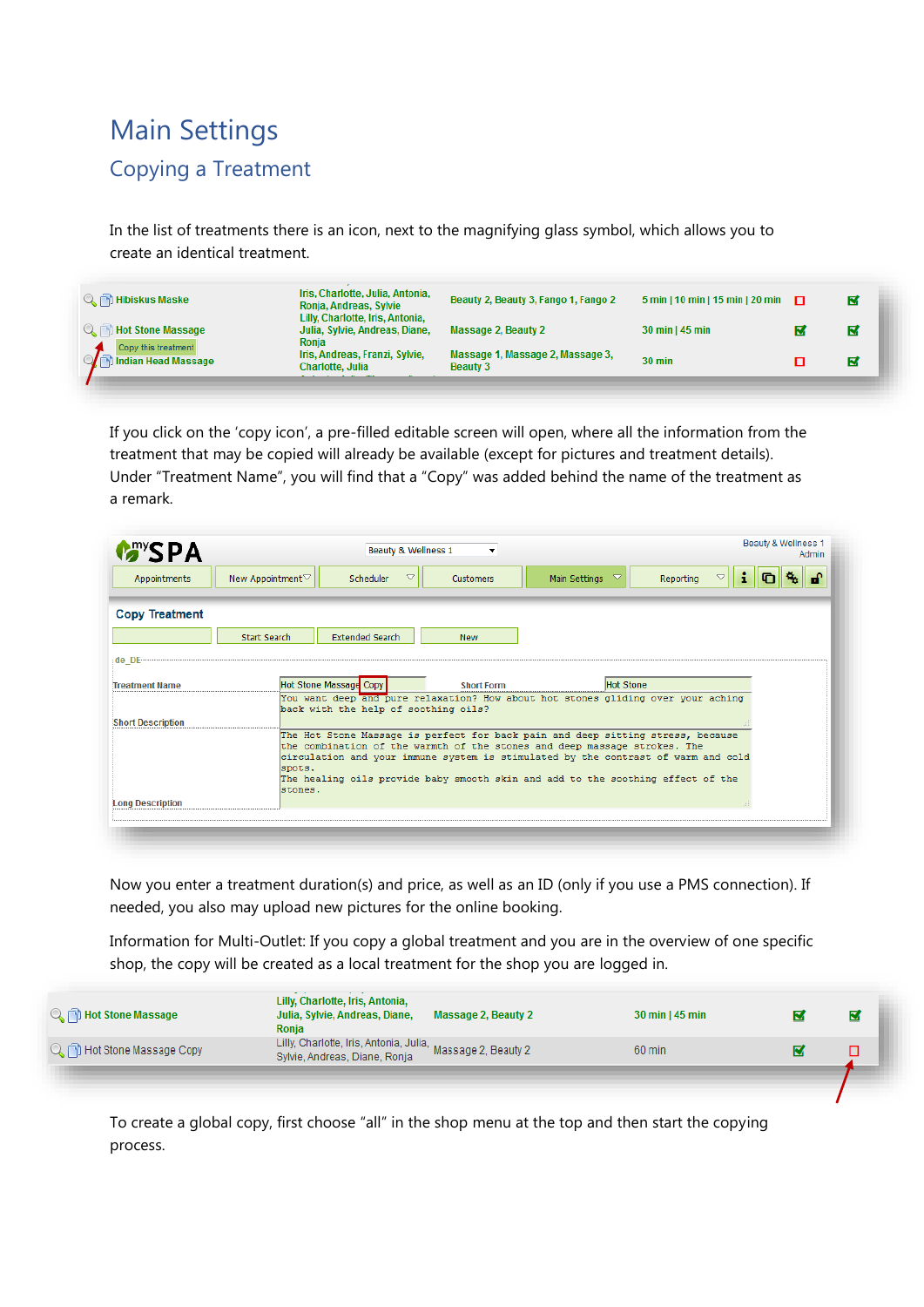# Main Settings Copying a Treatment

In the list of treatments there is an icon, next to the magnifying glass symbol, which allows you to create an identical treatment.

| <b>Q.</b> Hot Stone Massage<br>Julia, Sylvie, Andreas, Diane,<br>Massage 2, Beauty 2<br>30 min   45 min<br>N<br>Ronia<br>Copy this treatment<br>Massage 1, Massage 2, Massage 3,<br>Iris, Andreas, Franzi, Sylvie,<br>Indian Head Massage<br>$30 \text{ min}$<br>K<br>Charlotte, Julia<br><b>Beauty 3</b> | <b>Q</b> <sub>(b)</sub> Hibiskus Maske | Iris, Charlotte, Julia, Antonia,<br>Ronja, Andreas, Sylvie<br>Lilly, Charlotte, Iris, Antonia, | Beauty 2, Beauty 3, Fango 1, Fango 2 | 5 min   10 min   15 min   20 min $\Box$ | ⊠ |
|-----------------------------------------------------------------------------------------------------------------------------------------------------------------------------------------------------------------------------------------------------------------------------------------------------------|----------------------------------------|------------------------------------------------------------------------------------------------|--------------------------------------|-----------------------------------------|---|
|                                                                                                                                                                                                                                                                                                           |                                        |                                                                                                |                                      |                                         |   |
|                                                                                                                                                                                                                                                                                                           |                                        | and a series of the company                                                                    |                                      |                                         |   |

If you click on the 'copy icon', a pre-filled editable screen will open, where all the information from the treatment that may be copied will already be available (except for pictures and treatment details). Under "Treatment Name", you will find that a "Copy" was added behind the name of the treatment as a remark.

| Scheduler<br>$\triangledown$<br>$\triangledown$<br>New Appointment▽<br>Reporting<br>Main Settings<br>$\triangledown$<br>Customers<br>Appointments<br><b>Copy Treatment</b><br><b>Extended Search</b><br>Start Search<br><b>New</b><br>de DE<br>Hot Stone Massage Copy<br><b>Hot Stone</b><br><b>Short Form</b><br><b>Treatment Name</b><br>You want deep and pure relaxation? How about hot stones gliding over your aching<br>back with the help of soothing oils?<br><b>Short Description</b><br>The Hot Stone Massage is perfect for back pain and deep sitting stress, because<br>the combination of the warmth of the stones and deep massage strokes. The<br>circulation and your immune system is stimulated by the contrast of warm and cold<br>spots.<br>The healing oils provide baby smooth skin and add to the soothing effect of the<br>stones. | <b>MARYSPA</b>          | Beauty & Wellness 1<br>$\cdot$ | Beauty & Wellness 1<br>Admin |
|--------------------------------------------------------------------------------------------------------------------------------------------------------------------------------------------------------------------------------------------------------------------------------------------------------------------------------------------------------------------------------------------------------------------------------------------------------------------------------------------------------------------------------------------------------------------------------------------------------------------------------------------------------------------------------------------------------------------------------------------------------------------------------------------------------------------------------------------------------------|-------------------------|--------------------------------|------------------------------|
|                                                                                                                                                                                                                                                                                                                                                                                                                                                                                                                                                                                                                                                                                                                                                                                                                                                              |                         |                                |                              |
|                                                                                                                                                                                                                                                                                                                                                                                                                                                                                                                                                                                                                                                                                                                                                                                                                                                              |                         |                                |                              |
|                                                                                                                                                                                                                                                                                                                                                                                                                                                                                                                                                                                                                                                                                                                                                                                                                                                              |                         |                                |                              |
|                                                                                                                                                                                                                                                                                                                                                                                                                                                                                                                                                                                                                                                                                                                                                                                                                                                              |                         |                                |                              |
|                                                                                                                                                                                                                                                                                                                                                                                                                                                                                                                                                                                                                                                                                                                                                                                                                                                              |                         |                                |                              |
|                                                                                                                                                                                                                                                                                                                                                                                                                                                                                                                                                                                                                                                                                                                                                                                                                                                              |                         |                                |                              |
|                                                                                                                                                                                                                                                                                                                                                                                                                                                                                                                                                                                                                                                                                                                                                                                                                                                              |                         |                                |                              |
|                                                                                                                                                                                                                                                                                                                                                                                                                                                                                                                                                                                                                                                                                                                                                                                                                                                              | <b>Long Description</b> |                                |                              |

Now you enter a treatment duration(s) and price, as well as an ID (only if you use a PMS connection). If needed, you also may upload new pictures for the online booking.

Information for Multi-Outlet: If you copy a global treatment and you are in the overview of one specific shop, the copy will be created as a local treatment for the shop you are logged in.

| <b>Q</b> <sub>(1)</sub> Hot Stone Massage | Lilly, Charlotte, Iris, Antonia,<br>Julia, Sylvie, Andreas, Diane,<br>Massage 2, Beauty 2<br>Ronia | $30 \text{ min}$   45 min | Ε |
|-------------------------------------------|----------------------------------------------------------------------------------------------------|---------------------------|---|
| Q in Hot Stone Massage Copy               | Lilly, Charlotte, Iris, Antonia, Julia, Massage 2, Beauty 2<br>Sylvie, Andreas, Diane, Ronja       | 60 min                    |   |
|                                           |                                                                                                    |                           |   |

To create a global copy, first choose "all" in the shop menu at the top and then start the copying process.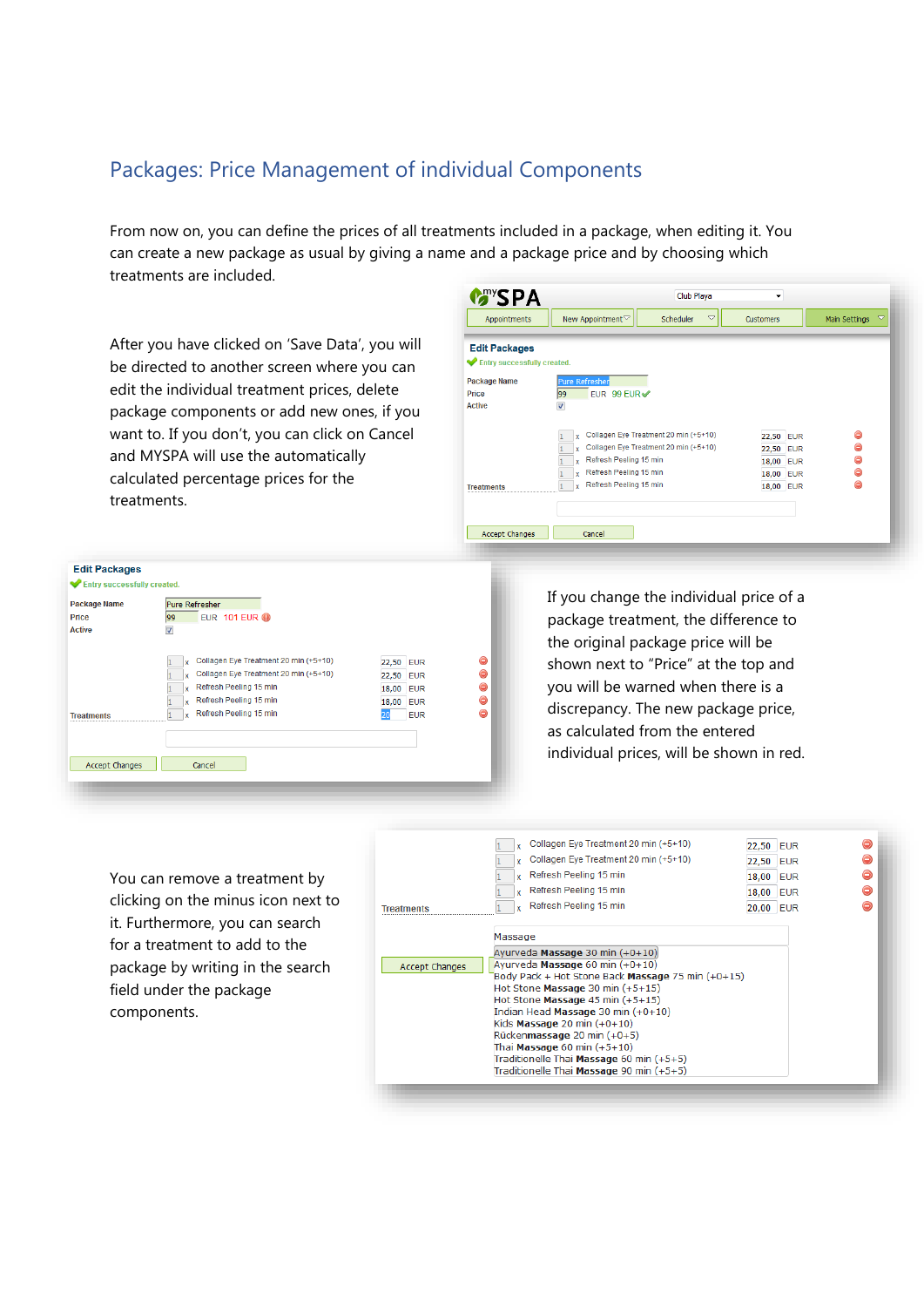### Packages: Price Management of individual Components

From now on, you can define the prices of all treatments included in a package, when editing it. You can create a new package as usual by giving a name and a package price and by choosing which treatments are included.

After you have clicked on 'Save Data', you will be directed to another screen where you can edit the individual treatment prices, delete package components or add new ones, if you want to. If you don't, you can click on Cancel and MYSPA will use the automatically calculated percentage prices for the treatments.

| Appointments                | $\triangledown$<br>New Appointment▽<br>Scheduler | <b>Customers</b> | $\triangledown$<br>Main Settings |
|-----------------------------|--------------------------------------------------|------------------|----------------------------------|
| <b>Edit Packages</b>        |                                                  |                  |                                  |
| Entry successfully created. |                                                  |                  |                                  |
| <b>Package Name</b>         | <b>Pure Refresher</b>                            |                  |                                  |
| Price                       | EUR 99 EUR√<br>99                                |                  |                                  |
| <b>Active</b>               | ☑                                                |                  |                                  |
|                             | Collagen Eye Treatment 20 min (+5+10)<br>Y       | 22,50 EUR        | ⊝                                |
|                             | Collagen Eye Treatment 20 min (+5+10)<br>Y       | 22,50 EUR        | ⊜                                |
|                             | Refresh Peeling 15 min<br>Y                      | 18,00 EUR        | ⊜                                |
|                             | Refresh Peeling 15 min<br>v                      | 18,00 EUR        | ⊝                                |
| <b>Treatments</b>           | Refresh Peeling 15 min<br>¥                      | 18,00 EUR        | ⊝                                |
|                             |                                                  |                  |                                  |
|                             |                                                  |                  |                                  |

| <b>EUR 101 EUR @</b><br>99                 |                     |   |
|--------------------------------------------|---------------------|---|
|                                            |                     |   |
| $\blacktriangledown$                       |                     |   |
|                                            |                     |   |
| Collagen Eye Treatment 20 min (+5+10)<br>x | 22,50 EUR           |   |
| Collagen Eye Treatment 20 min (+5+10)<br>¥ | 22,50 EUR           |   |
| Refresh Peeling 15 min<br>×                | 18,00<br><b>EUR</b> | ⊜ |
| Refresh Peeling 15 min<br>Y                | 18,00 EUR           |   |
| Refresh Peeling 15 min<br>v                | <b>EUR</b>          | ٠ |
|                                            |                     |   |
|                                            |                     |   |
|                                            |                     |   |

If you change the individual price of a package treatment, the difference to the original package price will be shown next to "Price" at the top and you will be warned when there is a discrepancy. The new package price, as calculated from the entered individual prices, will be shown in red.

You can remove a treatment by clicking on the minus icon next to it. Furthermore, you can search for a treatment to add to the package by writing in the search field under the package components.

|                   | Collagen Eye Treatment 20 min (+5+10)<br>Collagen Eye Treatment 20 min (+5+10)<br>Refresh Peeling 15 min                                                                                                                                                                                | 22,50 EUR<br>22,50 EUR |  |
|-------------------|-----------------------------------------------------------------------------------------------------------------------------------------------------------------------------------------------------------------------------------------------------------------------------------------|------------------------|--|
|                   | Refresh Peeling 15 min                                                                                                                                                                                                                                                                  | 18,00 EUR<br>18,00 EUR |  |
| <b>Treatments</b> | Refresh Peeling 15 min                                                                                                                                                                                                                                                                  | 20,00 EUR              |  |
|                   | Massage                                                                                                                                                                                                                                                                                 |                        |  |
| Accept Changes    | Ayurveda Massage 30 min $(+0+10)$<br>Avurveda Massage 60 min $(+0+10)$<br>Body Pack + Hot Stone Back Massage 75 min (+0+15)<br>Hot Stone Massage 30 min $(+5+15)$<br>Hot Stone Massage $45 \text{ min } (+5+15)$<br>Indian Head Massage 30 min (+0+10)<br>Kids Massage 20 min $(+0+10)$ |                        |  |
|                   | Rückenmassage 20 min (+0+5)<br>Thai Massage $60 \text{ min } (+5+10)$                                                                                                                                                                                                                   |                        |  |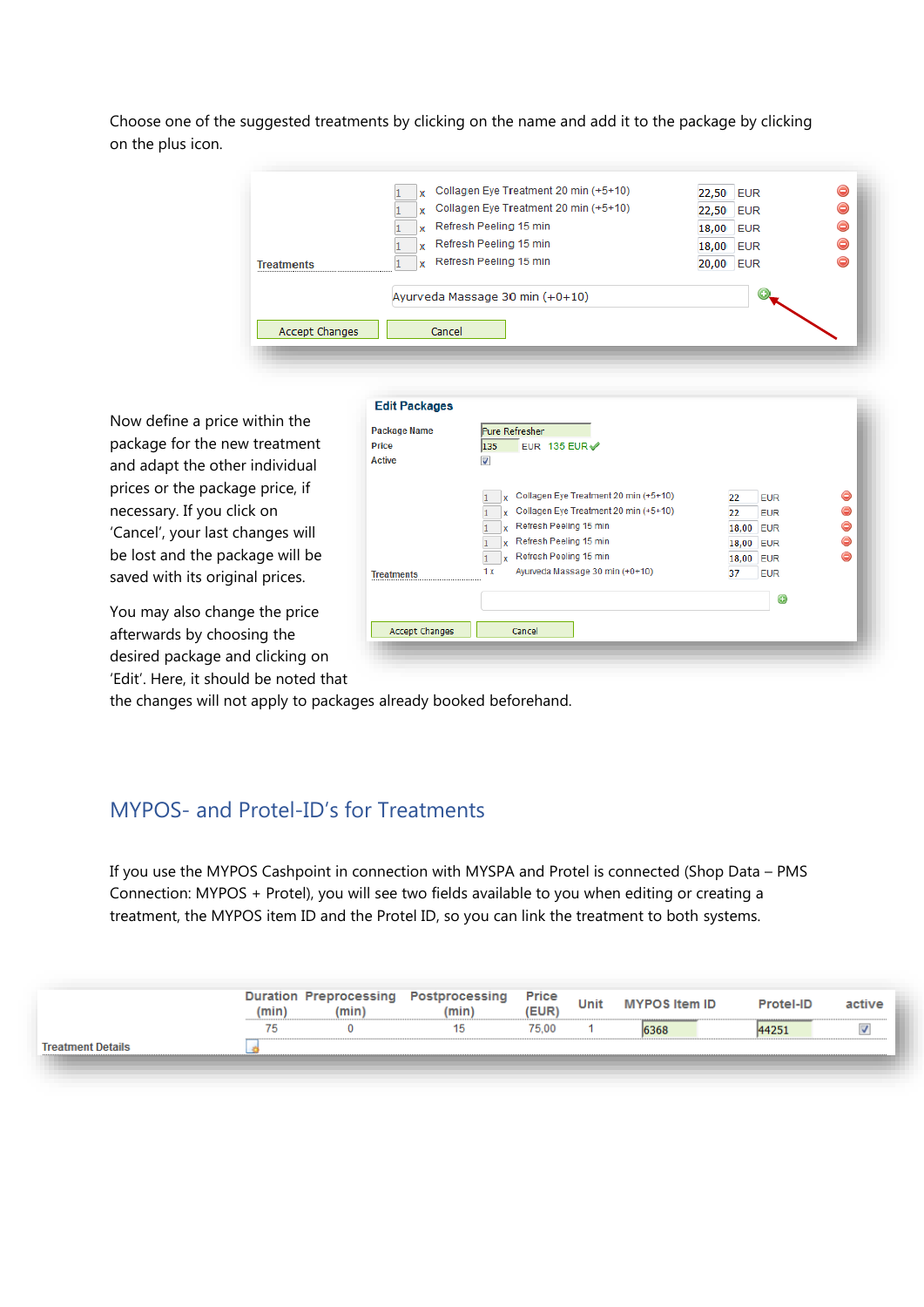Choose one of the suggested treatments by clicking on the name and add it to the package by clicking on the plus icon.

| <b>Treatments</b> | Collagen Eye Treatment 20 min (+5+10)<br><b>x</b><br>Refresh Peeling 15 min<br>¥.<br>Refresh Peeling 15 min<br>$\mathbf{x}$<br>Refresh Peeling 15 min<br>x | 22,50 EUR<br>18,00 EUR<br>18,00 EUR<br>20,00<br><b>EUR</b> |  |
|-------------------|------------------------------------------------------------------------------------------------------------------------------------------------------------|------------------------------------------------------------|--|
|                   | Ayurveda Massage 30 min (+0+10)<br>Cancel                                                                                                                  |                                                            |  |

Now define a price within the package for the new treatment and adapt the other individual prices or the package price, if necessary. If you click on 'Cancel', your last changes will be lost and the package will be saved with its original prices.

You may also change the price afterwards by choosing the desired package and clicking on 'Edit'. Here, it should be noted that

| EUR 135 EUR<br>Price<br>135<br><b>Active</b><br>⊽<br>Collagen Eye Treatment 20 min (+5+10)<br>22<br><b>EUR</b><br>x<br>Collagen Eye Treatment 20 min (+5+10)<br>22<br><b>EUR</b><br><b>Y</b><br>Refresh Peeling 15 min<br>18,00 EUR<br>x | ⊝<br>⊝<br>⊜<br>⊝<br>Refresh Peeling 15 min<br>18,00 EUR<br>x<br>⊝<br>Refresh Peeling 15 min<br>18,00<br><b>EUR</b><br>Y<br>Ayurveda Massage 30 min (+0+10)<br>1 x<br>37<br><b>EUR</b> | <b>Package Name</b> | Pure Refresher |  |  |
|------------------------------------------------------------------------------------------------------------------------------------------------------------------------------------------------------------------------------------------|---------------------------------------------------------------------------------------------------------------------------------------------------------------------------------------|---------------------|----------------|--|--|
|                                                                                                                                                                                                                                          |                                                                                                                                                                                       |                     |                |  |  |
|                                                                                                                                                                                                                                          |                                                                                                                                                                                       |                     |                |  |  |
|                                                                                                                                                                                                                                          |                                                                                                                                                                                       |                     |                |  |  |
|                                                                                                                                                                                                                                          |                                                                                                                                                                                       |                     |                |  |  |
|                                                                                                                                                                                                                                          |                                                                                                                                                                                       |                     |                |  |  |
|                                                                                                                                                                                                                                          |                                                                                                                                                                                       |                     |                |  |  |
|                                                                                                                                                                                                                                          |                                                                                                                                                                                       |                     |                |  |  |
|                                                                                                                                                                                                                                          |                                                                                                                                                                                       |                     |                |  |  |
| <b>Treatments</b>                                                                                                                                                                                                                        |                                                                                                                                                                                       |                     |                |  |  |
|                                                                                                                                                                                                                                          |                                                                                                                                                                                       |                     |                |  |  |
| O                                                                                                                                                                                                                                        |                                                                                                                                                                                       |                     |                |  |  |
|                                                                                                                                                                                                                                          |                                                                                                                                                                                       | Accept Changes      | Cancel         |  |  |

the changes will not apply to packages already booked beforehand.

### MYPOS- and Protel-ID's for Treatments

If you use the MYPOS Cashpoint in connection with MYSPA and Protel is connected (Shop Data – PMS Connection: MYPOS + Protel), you will see two fields available to you when editing or creating a treatment, the MYPOS item ID and the Protel ID, so you can link the treatment to both systems.

| ,mın | cessing<br>,,,,,,, | sına<br>min | Price | Unit | m ID |  |
|------|--------------------|-------------|-------|------|------|--|
| --   |                    |             | 75.00 |      |      |  |
|      |                    |             |       |      |      |  |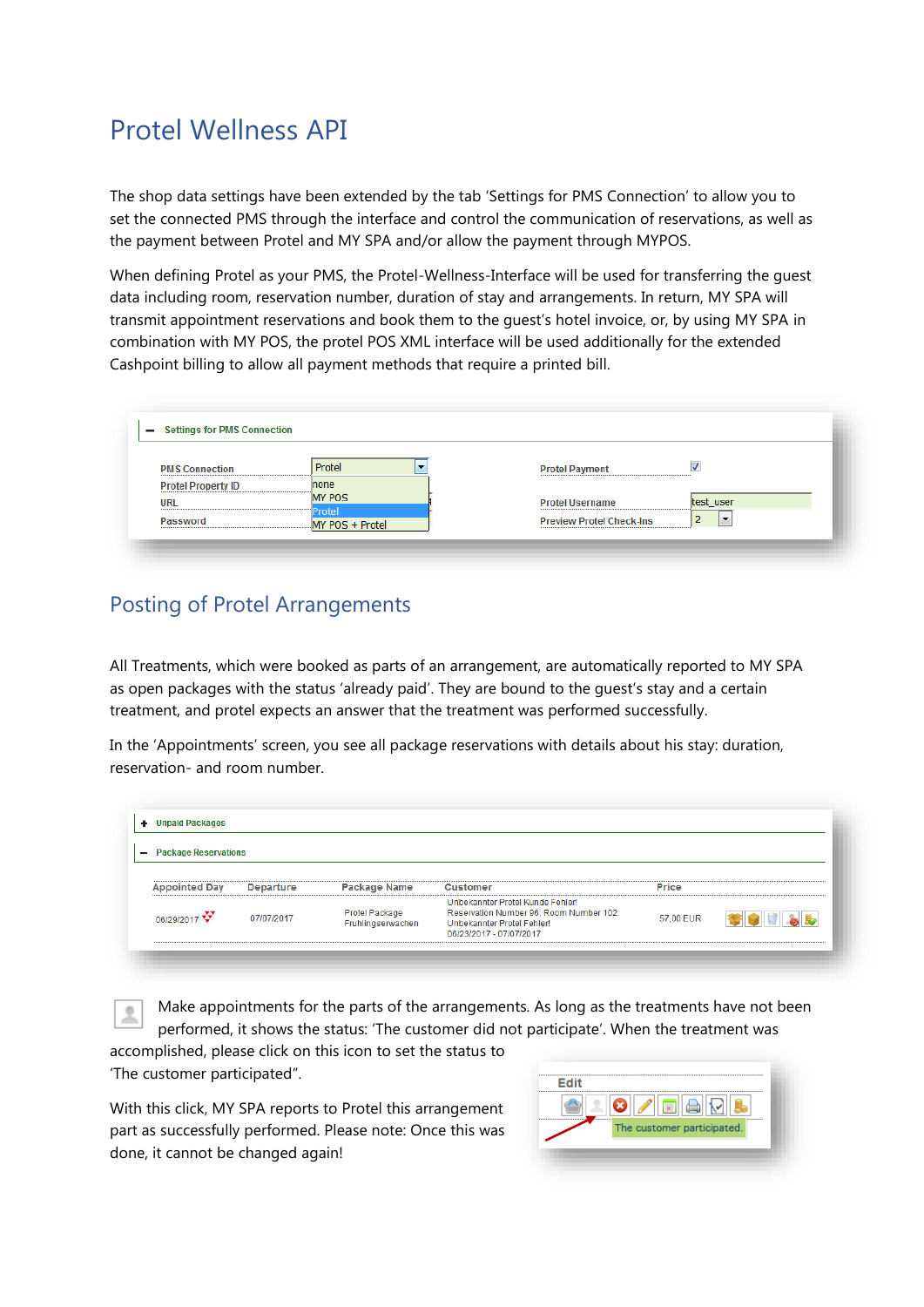### Protel Wellness API

The shop data settings have been extended by the tab 'Settings for PMS Connection' to allow you to set the connected PMS through the interface and control the communication of reservations, as well as the payment between Protel and MY SPA and/or allow the payment through MYPOS.

When defining Protel as your PMS, the Protel-Wellness-Interface will be used for transferring the guest data including room, reservation number, duration of stay and arrangements. In return, MY SPA will transmit appointment reservations and book them to the guest's hotel invoice, or, by using MY SPA in combination with MY POS, the protel POS XML interface will be used additionally for the extended Cashpoint billing to allow all payment methods that require a printed bill.

| <b>PMS Connection</b>     | Protel                    | <b>Protel Payment</b>           | $\overline{J}$ |
|---------------------------|---------------------------|---------------------------------|----------------|
| <b>Protel Property ID</b> | none                      |                                 |                |
| URL                       | <b>MY POS</b>             | <b>Protel Username</b>          | test_user      |
| Password                  | Protel<br>MY POS + Protel | <b>Preview Protel Check-Ins</b> |                |

### Posting of Protel Arrangements

All Treatments, which were booked as parts of an arrangement, are automatically reported to MY SPA as open packages with the status 'already paid'. They are bound to the guest's stay and a certain treatment, and protel expects an answer that the treatment was performed successfully.

In the 'Appointments' screen, you see all package reservations with details about his stay: duration, reservation- and room number.

| - Package Reservations |            |                                            |                                                                                                                                      |           |  |
|------------------------|------------|--------------------------------------------|--------------------------------------------------------------------------------------------------------------------------------------|-----------|--|
| <b>Appointed Day</b>   | Departure  | Package Name                               | Customer                                                                                                                             | Price     |  |
| 06/29/2017             | 07/07/2017 | <b>Protel Package</b><br>Fruhlingserwachen | Unbekannter Protel Kunde Fehler!<br>Reservation Number 96, Room Number 102:<br>Unbekannter Protel Fehler!<br>06/23/2017 - 07/07/2017 | 57,00 EUR |  |

Make appointments for the parts of the arrangements. As long as the treatments have not been performed, it shows the status: 'The customer did not participate'. When the treatment was

accomplished, please click on this icon to set the status to 'The customer participated".

With this click, MY SPA reports to Protel this arrangement part as successfully performed. Please note: Once this was done, it cannot be changed again!

| <b>Edit</b> |                                   |  |
|-------------|-----------------------------------|--|
|             | tia<br>The customer participated. |  |
|             |                                   |  |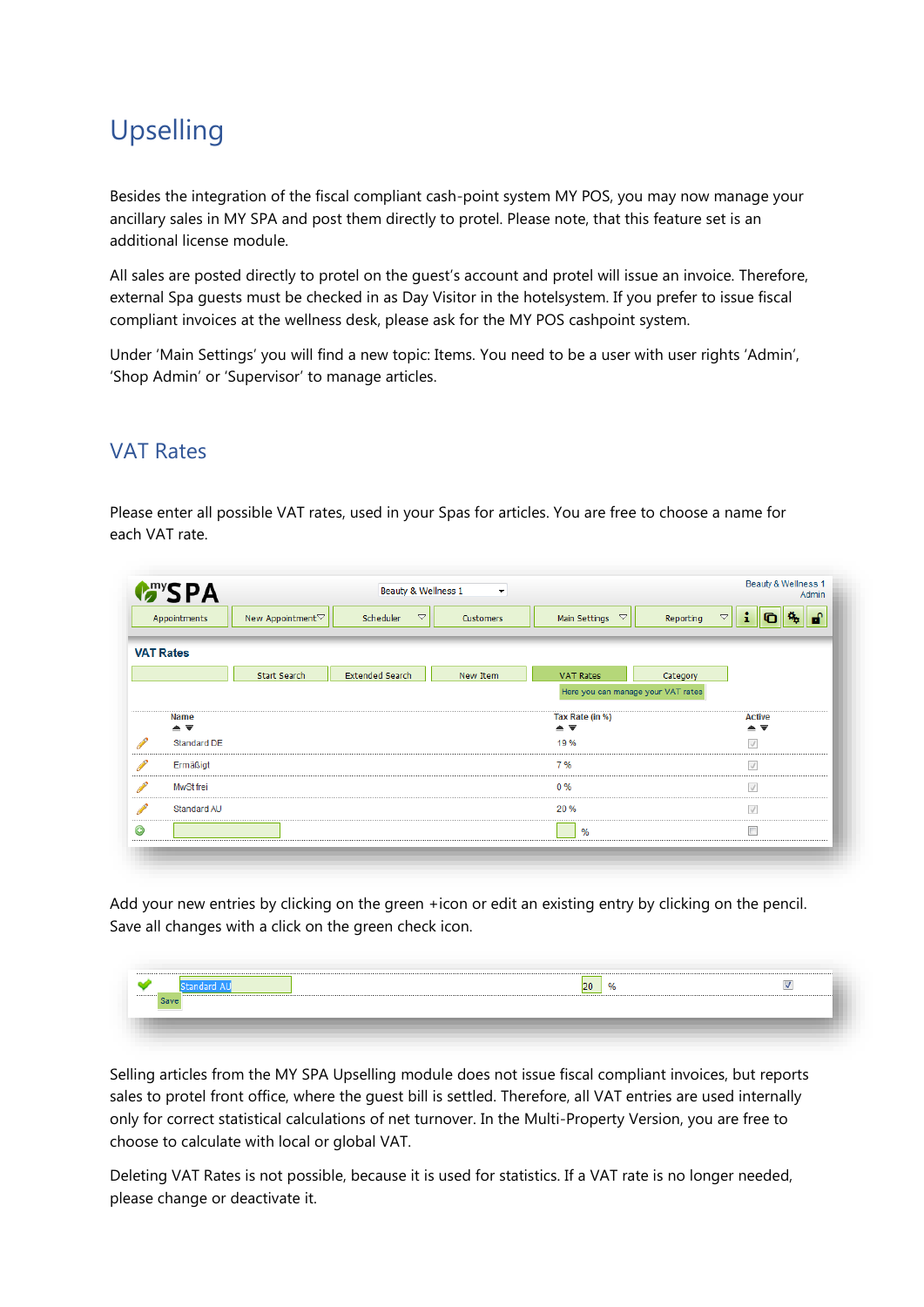## Upselling

Besides the integration of the fiscal compliant cash-point system MY POS, you may now manage your ancillary sales in MY SPA and post them directly to protel. Please note, that this feature set is an additional license module.

All sales are posted directly to protel on the guest's account and protel will issue an invoice. Therefore, external Spa guests must be checked in as Day Visitor in the hotelsystem. If you prefer to issue fiscal compliant invoices at the wellness desk, please ask for the MY POS cashpoint system.

Under 'Main Settings' you will find a new topic: Items. You need to be a user with user rights 'Admin', 'Shop Admin' or 'Supervisor' to manage articles.

#### VAT Rates

Please enter all possible VAT rates, used in your Spas for articles. You are free to choose a name for each VAT rate.

|                                                                                                                                                                                                                                      | <b>Many SPA</b>                             |                              | Beauty & Wellness 1             | $\overline{\phantom{a}}$ |                                                        | Beauty & Wellness 1<br>Admin                           |
|--------------------------------------------------------------------------------------------------------------------------------------------------------------------------------------------------------------------------------------|---------------------------------------------|------------------------------|---------------------------------|--------------------------|--------------------------------------------------------|--------------------------------------------------------|
|                                                                                                                                                                                                                                      | Appointments                                | New Appointment <sup>▽</sup> | $\bigtriangledown$<br>Scheduler | Customers                | Main Settings<br>$\bigtriangledown$                    | ÷<br>陈旧<br><b>D</b><br>$\bigtriangledown$<br>Reporting |
|                                                                                                                                                                                                                                      | <b>VAT Rates</b>                            |                              |                                 |                          |                                                        |                                                        |
|                                                                                                                                                                                                                                      |                                             | <b>Start Search</b>          | <b>Extended Search</b>          | New Item                 | <b>VAT Rates</b>                                       | Category                                               |
|                                                                                                                                                                                                                                      |                                             |                              |                                 |                          | Here you can manage your VAT rates                     |                                                        |
|                                                                                                                                                                                                                                      | Name<br>$\triangle$ $\overline{\mathbf{v}}$ |                              |                                 |                          | Tax Rate (in %)<br>$\triangle$ $\overline{\mathbf{v}}$ | <b>Active</b><br>▲▼                                    |
| <b>Contract Contract Contract Contract</b>                                                                                                                                                                                           | Standard DE                                 |                              |                                 |                          | 19%                                                    | $\sqrt{ }$                                             |
| <b>Contract of the Contract of the Contract of the Contract of the Contract of the Contract of the Contract of the Contract of the Contract of the Contract of the Contract of the Contract of the Contract of the Contract of t</b> | Ermäßigt                                    |                              |                                 |                          | 7 %                                                    | $\sqrt{ }$                                             |
| <b>Contract Contract Contract Contract</b>                                                                                                                                                                                           | MwSt frei                                   |                              |                                 |                          | 0%                                                     | $\sqrt{}$                                              |
| <b>Contract of the Contract of the Contract of the Contract of the Contract of the Contract of the Contract of the Contract of the Contract of the Contract of the Contract of the Contract of the Contract of the Contract of t</b> | Standard AU                                 |                              |                                 |                          | 20%                                                    | $\sqrt{}$                                              |
| $\odot$                                                                                                                                                                                                                              |                                             |                              |                                 |                          | %                                                      | $\Box$                                                 |

Add your new entries by clicking on the green +icon or edit an existing entry by clicking on the pencil. Save all changes with a click on the green check icon.

| -------------------------------<br>       | 20<br>$\alpha$ |  |
|-------------------------------------------|----------------|--|
| Coss<br>the control of the control of the |                |  |
|                                           |                |  |

Selling articles from the MY SPA Upselling module does not issue fiscal compliant invoices, but reports sales to protel front office, where the guest bill is settled. Therefore, all VAT entries are used internally only for correct statistical calculations of net turnover. In the Multi-Property Version, you are free to choose to calculate with local or global VAT.

Deleting VAT Rates is not possible, because it is used for statistics. If a VAT rate is no longer needed, please change or deactivate it.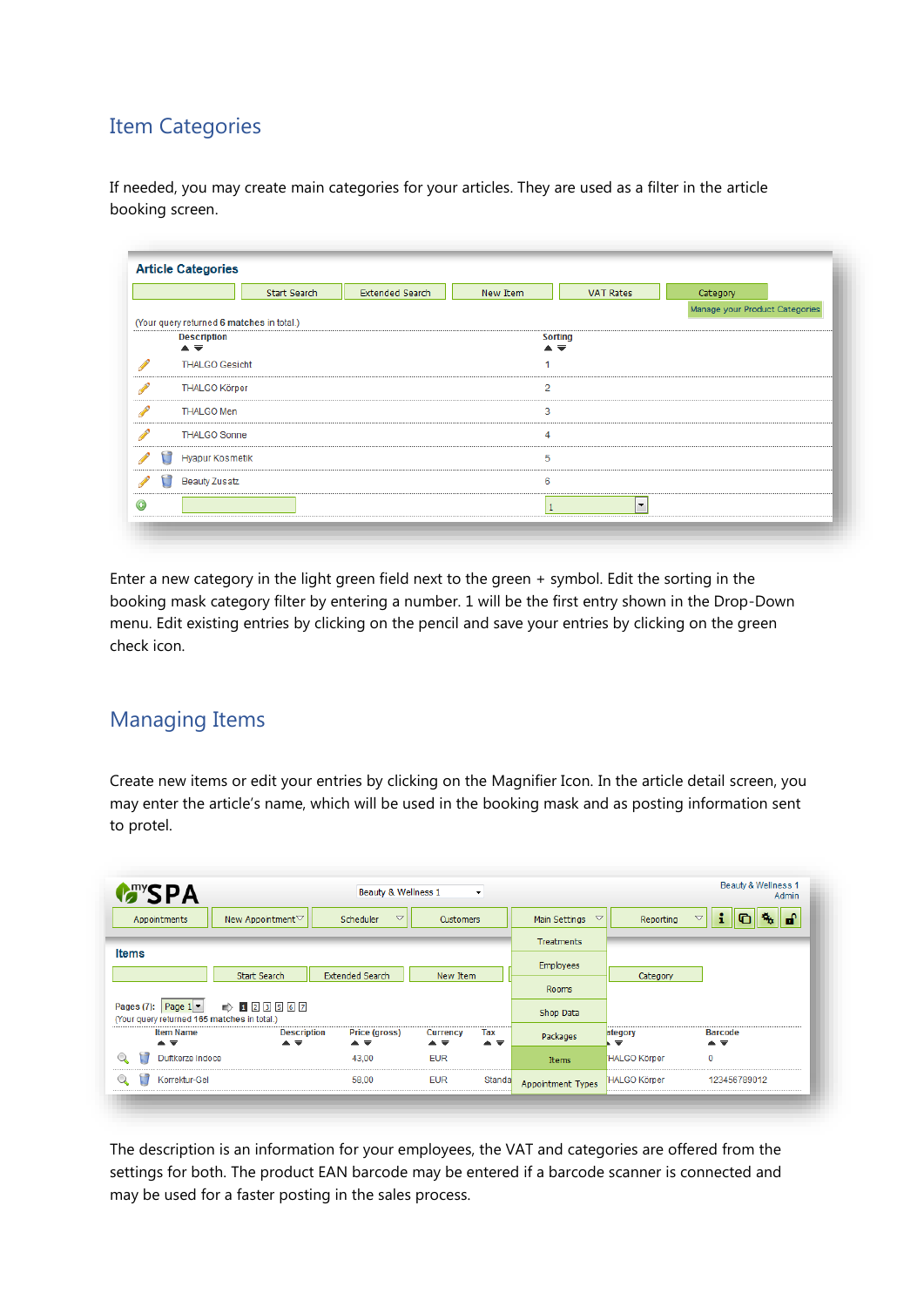### Item Categories

If needed, you may create main categories for your articles. They are used as a filter in the article booking screen.

|            |                                                           |                        | Start Search                              | <b>Extended Search</b> | New Item       | <b>VAT Rates</b>         | Category                       |  |
|------------|-----------------------------------------------------------|------------------------|-------------------------------------------|------------------------|----------------|--------------------------|--------------------------------|--|
|            |                                                           |                        |                                           |                        |                |                          | Manage your Product Categories |  |
|            |                                                           |                        | (Your query returned 6 matches in total.) |                        |                |                          |                                |  |
|            | <b>Description</b><br>$\triangle$ $\overline{\mathbf{v}}$ |                        |                                           |                        |                | <b>Sorting</b><br>▲▼     |                                |  |
| ℐ          |                                                           | <b>THALGO Gesicht</b>  |                                           |                        |                |                          |                                |  |
| P          |                                                           | <b>THALGO Körper</b>   |                                           |                        | $\overline{2}$ |                          |                                |  |
|            | <b>THALGO Men</b>                                         |                        |                                           |                        | 3              |                          |                                |  |
|            |                                                           | <b>THALGO Sonne</b>    |                                           |                        | 4              |                          |                                |  |
|            |                                                           | <b>Hyapur Kosmetik</b> |                                           |                        | 5              |                          |                                |  |
|            | <b>Beauty Zusatz</b>                                      |                        |                                           |                        | 6              |                          |                                |  |
| $_{\odot}$ |                                                           |                        |                                           |                        | $\mathbf{1}$   | $\overline{\phantom{a}}$ |                                |  |

Enter a new category in the light green field next to the green + symbol. Edit the sorting in the booking mask category filter by entering a number. 1 will be the first entry shown in the Drop-Down menu. Edit existing entries by clicking on the pencil and save your entries by clicking on the green check icon.

### Managing Items

Create new items or edit your entries by clicking on the Magnifier Icon. In the article detail screen, you may enter the article's name, which will be used in the booking mask and as posting information sent to protel.

| <b>MANSPA</b>                                                                           |                          | Beauty & Wellness 1                                  |                                                 | $\blacktriangledown$ |                                  |                                     | Beauty & Wellness 1<br>Admin          |
|-----------------------------------------------------------------------------------------|--------------------------|------------------------------------------------------|-------------------------------------------------|----------------------|----------------------------------|-------------------------------------|---------------------------------------|
| Appointments                                                                            | New Appointment▽         | $\triangledown$<br>Scheduler                         | <b>Customers</b>                                |                      | $\triangledown$<br>Main Settings | Reporting                           | п.<br>i<br>⊩n<br>$\triangledown$<br>⋒ |
|                                                                                         |                          |                                                      |                                                 |                      | <b>Treatments</b>                |                                     |                                       |
| <b>Items</b>                                                                            | Start Search             | <b>Extended Search</b>                               | New Item                                        |                      | <b>Employees</b>                 |                                     |                                       |
|                                                                                         |                          |                                                      |                                                 |                      | <b>Rooms</b>                     | Category                            |                                       |
| Pages (7): Page $1$ $\blacktriangledown$<br>(Your query returned 165 matches in total.) | $\Rightarrow 129567$     |                                                      |                                                 |                      | Shop Data                        |                                     |                                       |
| <b>Item Name</b><br>$\triangle$ $\overline{\mathbf{v}}$                                 | <b>Description</b><br>▲▼ | Price (gross)<br>$\triangle$ $\overline{\mathbf{v}}$ | Currency<br>$\blacktriangle \blacktriangledown$ | Tax<br>▲▼            | Packages                         | ategory<br>$\overline{\phantom{a}}$ | <b>Barcode</b><br>▲▼                  |
| Duftkerze Indoce                                                                        |                          | 43,00                                                | <b>EUR</b>                                      |                      | Items                            | HALGO Körper                        | $\mathbf 0$                           |
| Korrektur-Gel                                                                           |                          | 58,00                                                | <b>EUR</b>                                      | Standa               | Appointment Types                | <b>HALGO Körper</b>                 | 123456789012                          |

The description is an information for your employees, the VAT and categories are offered from the settings for both. The product EAN barcode may be entered if a barcode scanner is connected and may be used for a faster posting in the sales process.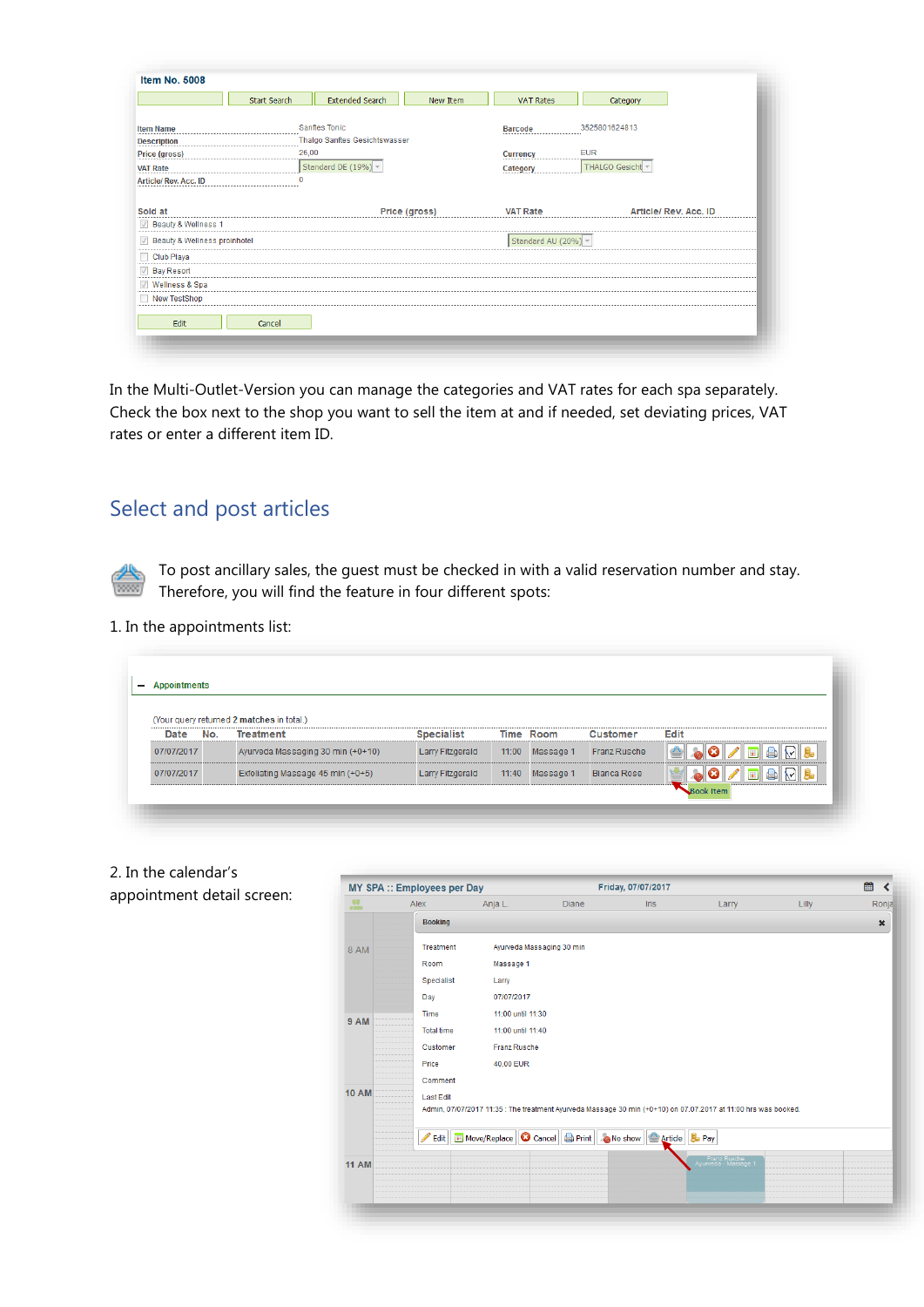|                                        | Start Search | <b>Extended Search</b>        | New Item      | <b>VAT Rates</b>    | Category              |
|----------------------------------------|--------------|-------------------------------|---------------|---------------------|-----------------------|
| <b>Item Name</b>                       |              | <b>Sanftes Tonic</b>          |               | <b>Barcode</b>      | 3525801624813         |
| <b>Description</b>                     |              | Thalgo Sanftes Gesichtswasser |               |                     |                       |
| Price (gross)                          | 26,00        |                               |               | <b>Currency</b>     | <b>EUR</b>            |
| <b>VAT Rate</b>                        |              | Standard DE $(19\%)$ ~        |               | Category            | THALGO Gesicht ~      |
| Article/Rev. Acc. ID                   | 0            |                               |               |                     |                       |
|                                        |              |                               |               |                     |                       |
| Sold at                                |              |                               | Price (gross) | <b>VAT Rate</b>     | Article/ Rev. Acc. ID |
| <b>D</b> Beauty & Wellness 1           |              |                               |               |                     |                       |
| Beauty & Wellness proinhotel           |              |                               |               | Standard AU (20%) v |                       |
| Club Playa                             |              |                               |               |                     |                       |
|                                        |              |                               |               |                     |                       |
| <b>Bay Resort</b>                      |              |                               |               |                     |                       |
| $\sqrt{}$<br><b>Wellness &amp; Spa</b> |              |                               |               |                     |                       |
| New TestShop                           |              |                               |               |                     |                       |
|                                        |              |                               |               |                     |                       |

In the Multi-Outlet-Version you can manage the categories and VAT rates for each spa separately. Check the box next to the shop you want to sell the item at and if needed, set deviating prices, VAT rates or enter a different item ID.

### Select and post articles

To post ancillary sales, the guest must be checked in with a valid reservation number and stay. Therefore, you will find the feature in four different spots:

#### 1. In the appointments list:

| Date       | No. | (Your query returned 2 matches in total.)<br><b>Treatment</b> | <b>Specialist</b> | Time Room         | <b>Customer</b>    | Edit                                             |
|------------|-----|---------------------------------------------------------------|-------------------|-------------------|--------------------|--------------------------------------------------|
|            |     |                                                               |                   |                   |                    |                                                  |
| 07/07/2017 |     | Ayurveda Massaging 30 min (+0+10)                             | Larry Fitzgerald  | $11:00$ Massage 1 | Franz Rusche       | <u>. Joia de la </u>                             |
| 07/07/2017 |     | Exfoliating Massage 45 min (+0+5)                             | Larry Fitzgerald  | 11:40 Massage 1   | <b>Bianca Rose</b> | $\qquad \qquad \qquad \qquad \qquad \qquad \Box$ |

2. In the calendar's appointment detail screen:

|              | <b>MY SPA :: Employees per Day</b> |                     |                                                                                                                | Friday, 07/07/2017      |                                      |       | 餾<br>≺         |
|--------------|------------------------------------|---------------------|----------------------------------------------------------------------------------------------------------------|-------------------------|--------------------------------------|-------|----------------|
| 鹽            | Alex                               | Anja L.             | <b>Diane</b>                                                                                                   | <b>Iris</b>             | Larry                                | Lilly | Ronja          |
|              | <b>Booking</b>                     |                     |                                                                                                                |                         |                                      |       | $\pmb{\times}$ |
| 8 AM         | <b>Treatment</b>                   |                     | Ayurveda Massaging 30 min                                                                                      |                         |                                      |       |                |
|              | Room                               | Massage 1           |                                                                                                                |                         |                                      |       |                |
|              | Specialist                         | Larry               |                                                                                                                |                         |                                      |       |                |
|              | Day                                | 07/07/2017          |                                                                                                                |                         |                                      |       |                |
| <b>9 AM</b>  | <b>Time</b>                        | 11:00 until 11:30   |                                                                                                                |                         |                                      |       |                |
|              | <b>Total time</b>                  | 11:00 until 11:40   |                                                                                                                |                         |                                      |       |                |
|              | Customer                           | <b>Franz Rusche</b> |                                                                                                                |                         |                                      |       |                |
|              | Price                              | 40,00 EUR           |                                                                                                                |                         |                                      |       |                |
|              | Comment                            |                     |                                                                                                                |                         |                                      |       |                |
| <b>10 AM</b> | <b>Last Edit</b>                   |                     |                                                                                                                |                         |                                      |       |                |
|              |                                    |                     | Admin, 07/07/2017 11:35 : The treatment Ayurveda Massage 30 min (+0+10) on 07.07.2017 at 11:00 hrs was booked. |                         |                                      |       |                |
|              | $\rightarrow$ Edit                 |                     | Move/Replace   C Cancel   Print                                                                                | ONo show Article Bo Pay |                                      |       |                |
|              |                                    |                     |                                                                                                                |                         | Franz Rusche<br>1 Ayurveda - Massage |       |                |
| <b>11 AM</b> |                                    |                     |                                                                                                                |                         |                                      |       |                |
|              |                                    |                     |                                                                                                                |                         |                                      |       |                |
|              |                                    |                     |                                                                                                                |                         |                                      |       |                |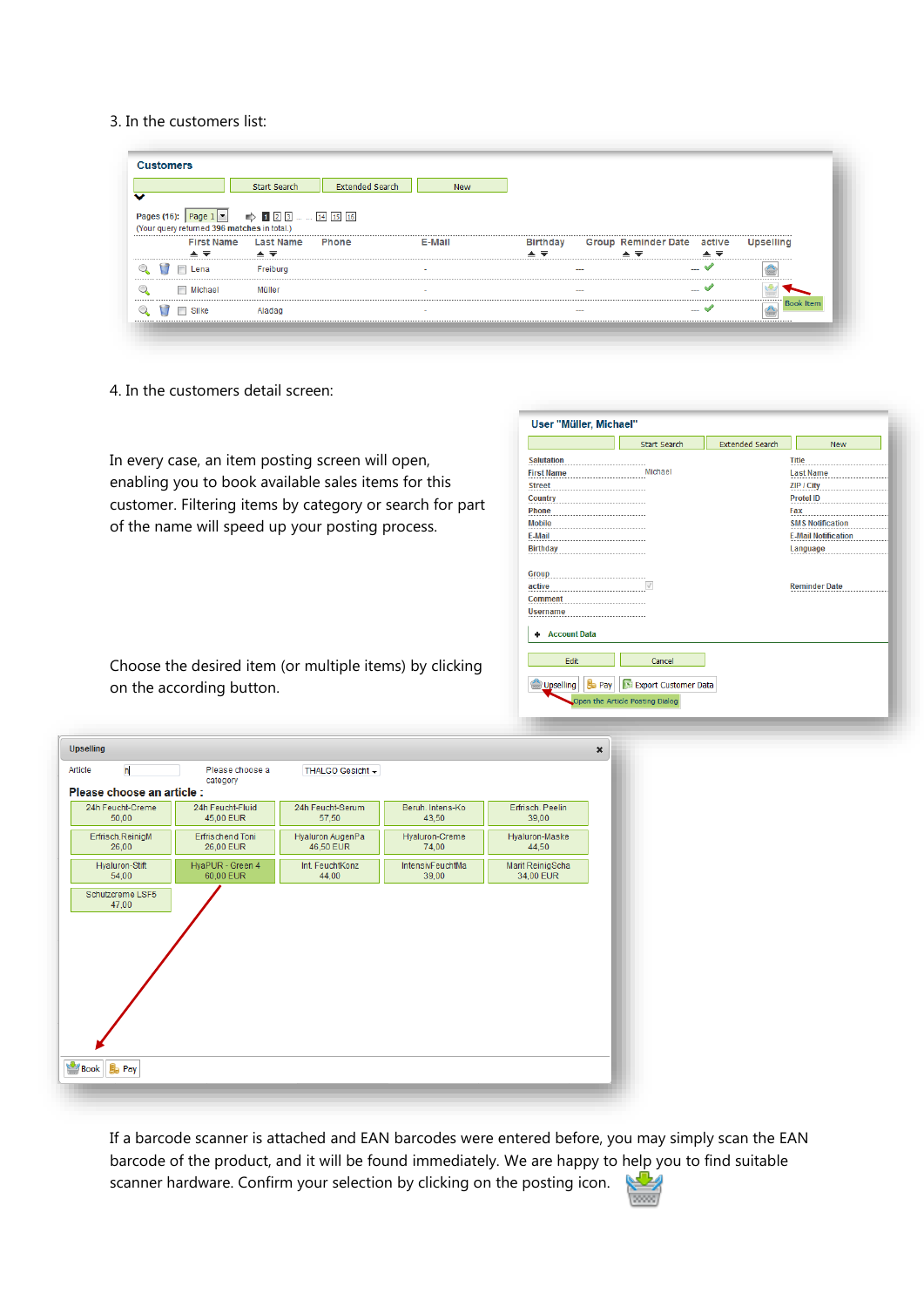#### 3. In the customers list:

| v |                                     | <b>Start Search</b>                                                                                                                    | <b>Extended Search</b> | <b>New</b>               |                                     |     |                            |                                     |                  |
|---|-------------------------------------|----------------------------------------------------------------------------------------------------------------------------------------|------------------------|--------------------------|-------------------------------------|-----|----------------------------|-------------------------------------|------------------|
|   | <b>First Name</b>                   | Pages (16): Page $1 \rightarrow \rightarrow \Box$ 2 3  [14 [15 [16]<br>(Your query returned 396 matches in total.)<br><b>Last Name</b> | Phone                  | E-Mail                   | <b>Birthday</b>                     |     | Group Reminder Date active |                                     | <b>Upselling</b> |
|   | $\triangle$ $\overline{\mathbf{v}}$ | $\triangle$ $\overline{\mathbf{v}}$                                                                                                    |                        |                          | $\triangle$ $\overline{\mathbf{v}}$ |     | ▲▼                         | $\triangle$ $\overline{\mathbf{v}}$ |                  |
|   | <b>TI</b><br><b>Lena</b>            | Freiburg                                                                                                                               |                        | $\overline{\phantom{a}}$ |                                     | $-$ |                            | $ \checkmark$                       |                  |
|   |                                     |                                                                                                                                        |                        |                          |                                     | $-$ |                            | $-4$                                |                  |
| Q | Michael                             | Müller                                                                                                                                 |                        | $\sim$                   |                                     |     |                            |                                     |                  |

4. In the customers detail screen:

In every case, an item posting screen will open, enabling you to book available sales items for this customer. Filtering items by category or search for part of the name will speed up your posting process.

|                                   | <b>Start Search</b>  | <b>Extended Search</b> | <b>New</b>                 |
|-----------------------------------|----------------------|------------------------|----------------------------|
| <b>Salutation</b>                 |                      |                        | <b>Title</b>               |
| <b>First Name</b>                 | Michael              |                        | <b>Last Name</b>           |
| <b>Street</b>                     |                      |                        | ZIP / City                 |
| <b>Country</b>                    |                      |                        | <b>Protel ID</b>           |
| Phone                             |                      |                        | Fax                        |
| <b>Mobile</b>                     |                      |                        | <b>SMS Notification</b>    |
| E-Mail                            |                      |                        | <b>E-Mail Notification</b> |
| <b>Birthday</b>                   |                      |                        | Language                   |
| <b>Comment</b><br><b>Username</b> |                      |                        |                            |
| <b>Account Data</b>               |                      |                        |                            |
|                                   |                      |                        |                            |
| Edit                              | Cancel               |                        |                            |
| Upselling<br><b>Pay</b>           | Export Customer Data |                        |                            |

Choose the desired item (or multiple items) by clicking on the according button.

| <b>Upselling</b>                   |                                      |                               |                           | $\pmb{\times}$                |
|------------------------------------|--------------------------------------|-------------------------------|---------------------------|-------------------------------|
| $\overline{\mathsf{n}}$<br>Article | Please choose a<br>category          | THALGO Gesicht -              |                           |                               |
| Please choose an article :         |                                      |                               |                           |                               |
| 24h Feucht-Creme<br>50,00          | 24h Feucht-Fluid<br>45,00 EUR        | 24h Feucht-Serum<br>57,50     | Beruh, Intens-Ko<br>43,50 | Erfrisch, Peelin<br>39,00     |
| Erfrisch.ReinigM<br>26.00          | <b>Erfrischend Toni</b><br>26,00 EUR | Hyaluron AugenPa<br>46,50 EUR | Hyaluron-Creme<br>74,00   | Hyaluron-Maske<br>44,50       |
| Hyaluron-Stift<br>54.00            | HyaPUR - Green 4<br>60,00 EUR        | Int. FeuchtKonz<br>44,00      | IntensivFeuchtMa<br>39,00 | Marit ReinigScha<br>34,00 EUR |
|                                    |                                      |                               |                           |                               |

If a barcode scanner is attached and EAN barcodes were entered before, you may simply scan the EAN barcode of the product, and it will be found immediately. We are happy to help you to find suitable scanner hardware. Confirm your selection by clicking on the posting icon. ريطانه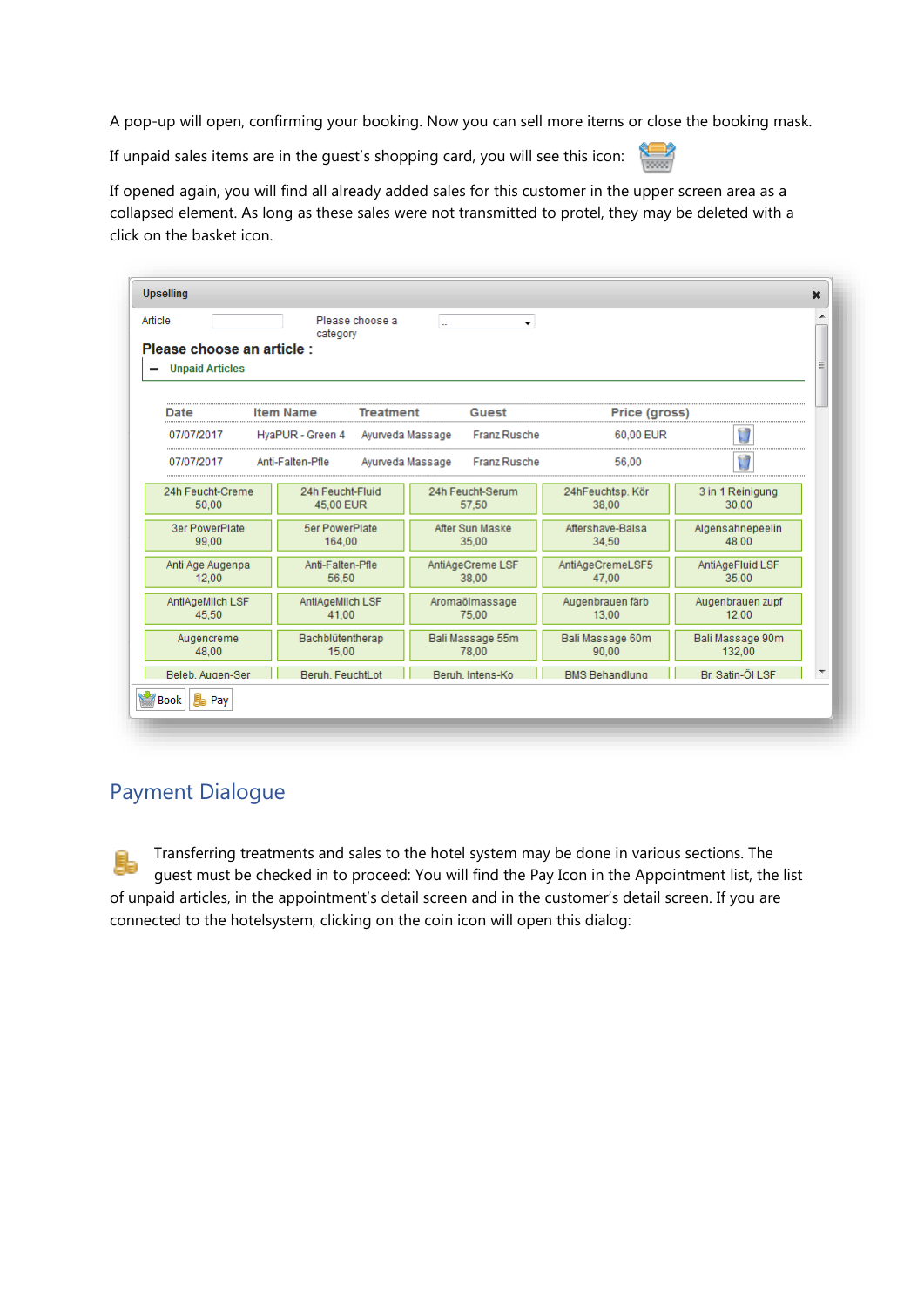A pop-up will open, confirming your booking. Now you can sell more items or close the booking mask.

If unpaid sales items are in the guest's shopping card, you will see this icon:

If opened again, you will find all already added sales for this customer in the upper screen area as a collapsed element. As long as these sales were not transmitted to protel, they may be deleted with a click on the basket icon.

| Article<br>Please choose an article :<br><b>Unpaid Articles</b> | category                        | Please choose a  | $\sim$           | $\overline{\phantom{a}}$  |                           |               |                            |  |
|-----------------------------------------------------------------|---------------------------------|------------------|------------------|---------------------------|---------------------------|---------------|----------------------------|--|
| Date                                                            | <b>Item Name</b>                | <b>Treatment</b> |                  | Guest                     |                           | Price (gross) |                            |  |
| 07/07/2017                                                      | HyaPUR - Green 4                | Ayurveda Massage |                  | Franz Rusche              |                           | 60.00 EUR     | U                          |  |
| 07/07/2017                                                      | Anti-Falten-Pfle                |                  | Ayurveda Massage | <b>Franz Rusche</b>       |                           | 56.00         | $\Box$                     |  |
| 24h Feucht-Creme<br>50.00                                       | 24h Feucht-Fluid<br>45,00 EUR   |                  |                  | 24h Feucht-Serum<br>57.50 | 24hFeuchtsp. Kör<br>38.00 |               | 3 in 1 Reinigung<br>30.00  |  |
| <b>3er PowerPlate</b><br>99.00                                  | <b>5er PowerPlate</b><br>164.00 |                  |                  | After Sun Maske<br>35,00  | Aftershave-Balsa<br>34.50 |               | Algensahnepeelin<br>48.00  |  |
| Anti Age Augenpa<br>12.00                                       | Anti-Falten-Pfle<br>56.50       |                  |                  | AntiAgeCreme LSF<br>38.00 | AntiAgeCremeLSF5<br>47.00 |               | AntiAgeFluid LSF<br>35.00  |  |
| AntiAgeMilch LSF<br>45.50                                       | AntiAgeMilch LSF<br>41.00       |                  |                  | Aromaölmassage<br>75.00   | Augenbrauen färb<br>13.00 |               | Augenbrauen zupf<br>12.00  |  |
| Augencreme<br>48.00                                             | Bachblütentherap<br>15,00       |                  |                  | Bali Massage 55m<br>78.00 | Bali Massage 60m<br>90.00 |               | Bali Massage 90m<br>132.00 |  |
| <b>Beleb Augen-Ser</b>                                          | Beruh, FeuchtLot                |                  |                  | Beruh, Intens-Ko          | <b>BMS Behandlung</b>     |               | Br. Satin-Öl LSF           |  |

### Payment Dialogue

Transferring treatments and sales to the hotel system may be done in various sections. The guest must be checked in to proceed: You will find the Pay Icon in the Appointment list, the list of unpaid articles, in the appointment's detail screen and in the customer's detail screen. If you are connected to the hotelsystem, clicking on the coin icon will open this dialog: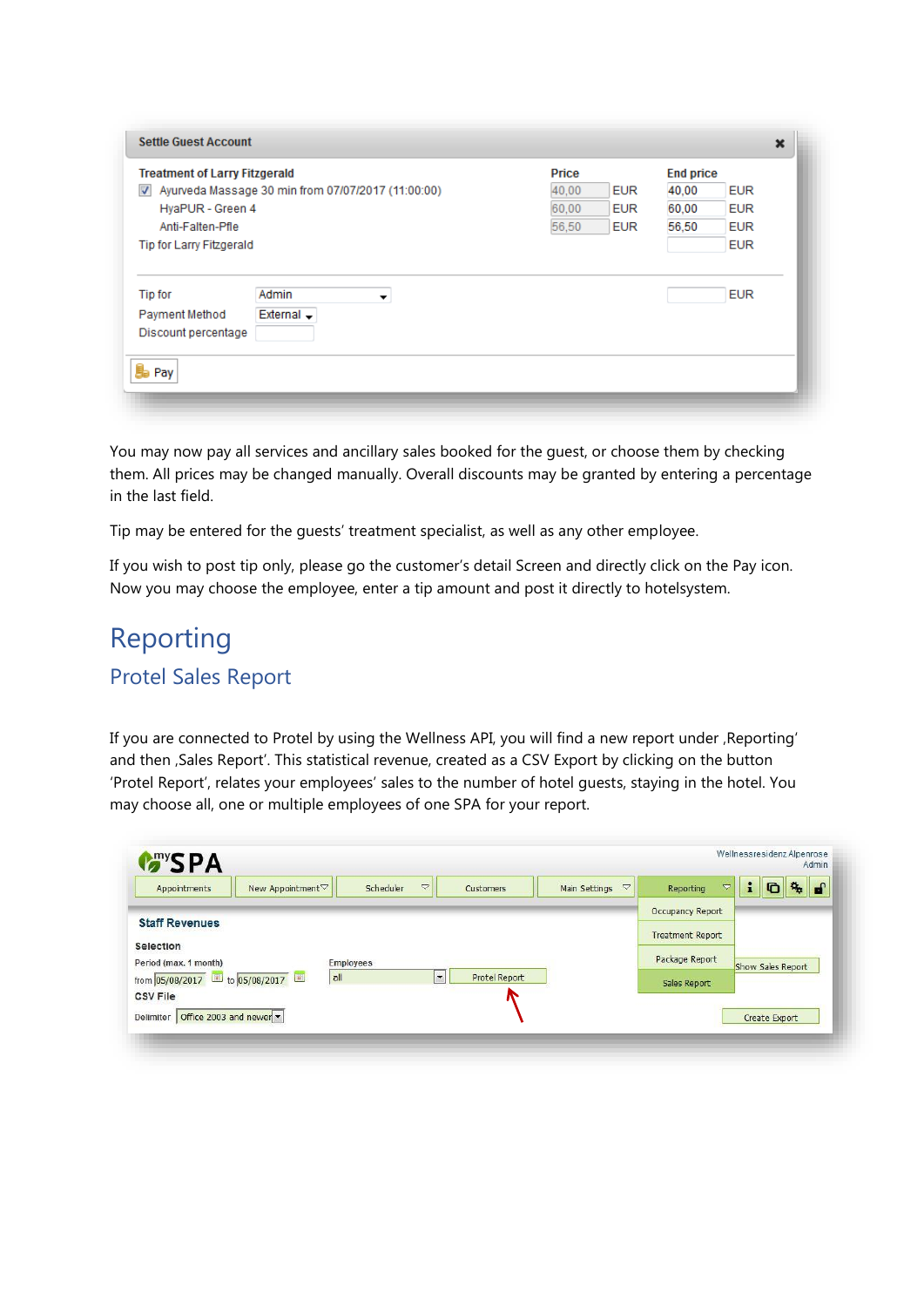| <b>Treatment of Larry Fitzgerald</b>                                                                       | Price               | <b>End price</b>    |
|------------------------------------------------------------------------------------------------------------|---------------------|---------------------|
| Ayurveda Massage 30 min from 07/07/2017 (11:00:00)<br>$\overline{\mathcal{A}}$                             | 40,00<br><b>EUR</b> | <b>EUR</b><br>40,00 |
| HyaPUR - Green 4                                                                                           | 60.00<br><b>EUR</b> | 60,00<br><b>EUR</b> |
| Anti-Falten-Pfle                                                                                           | 56,50<br><b>EUR</b> | 56,50<br><b>EUR</b> |
| <b>Tip for Larry Fitzgerald</b>                                                                            |                     | <b>EUR</b>          |
| Admin<br>Tip for<br>▼<br>External $\overline{\phantom{a}}$<br>Payment Method<br>Discount percentage<br>Pav |                     | <b>EUR</b>          |

You may now pay all services and ancillary sales booked for the guest, or choose them by checking them. All prices may be changed manually. Overall discounts may be granted by entering a percentage in the last field.

Tip may be entered for the guests' treatment specialist, as well as any other employee.

If you wish to post tip only, please go the customer's detail Screen and directly click on the Pay icon. Now you may choose the employee, enter a tip amount and post it directly to hotelsystem.

### Reporting Protel Sales Report

If you are connected to Protel by using the Wellness API, you will find a new report under , Reporting' and then , Sales Report'. This statistical revenue, created as a CSV Export by clicking on the button 'Protel Report', relates your employees' sales to the number of hotel guests, staying in the hotel. You may choose all, one or multiple employees of one SPA for your report.

| Appointments                       | New Appointment▽ | $\triangledown$<br>Scheduler | Customers            | $\triangledown$<br>Main Settings | Reporting               | i<br>$\triangledown$ | G                 | $\mathbf{G}_{\mathbf{h}}$<br>$\mathbf{f}$ |
|------------------------------------|------------------|------------------------------|----------------------|----------------------------------|-------------------------|----------------------|-------------------|-------------------------------------------|
| <b>Staff Revenues</b>              |                  |                              |                      |                                  | <b>Occupancy Report</b> |                      |                   |                                           |
|                                    |                  |                              |                      |                                  | <b>Treatment Report</b> |                      |                   |                                           |
| Selection<br>Period (max. 1 month) |                  | <b>Employees</b>             |                      |                                  | Package Report          |                      | Show Sales Report |                                           |
| from 05/08/2017 to 05/08/2017      | all              | $\overline{\phantom{a}}$     | <b>Protel Report</b> |                                  | Sales Report            |                      |                   |                                           |